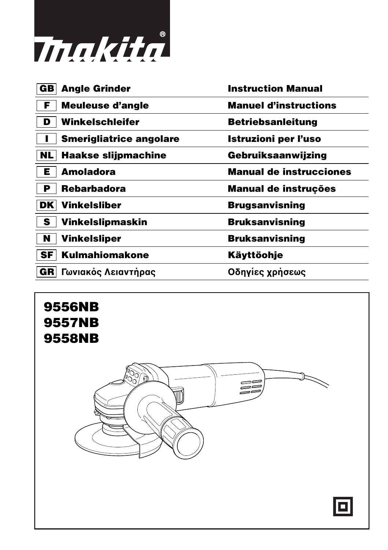

| <b>Angle Grinder</b><br>GB       | <b>Instruction Manual</b>      |
|----------------------------------|--------------------------------|
| F<br>Meuleuse d'angle            | <b>Manuel d'instructions</b>   |
| Winkelschleifer<br>D             | <b>Betriebsanleitung</b>       |
| <b>Smerigliatrice angolare</b>   | <b>Istruzioni per l'uso</b>    |
| <b>Haakse slijpmachine</b><br>NL | Gebruiksaanwijzing             |
| <b>Amoladora</b><br>Е            | <b>Manual de instrucciones</b> |
| <b>Rebarbadora</b><br>Р          | <b>Manual de instruções</b>    |
| <b>Vinkelsliber</b><br>DK        | <b>Brugsanvisning</b>          |
| Vinkelslipmaskin<br>S            | <b>Bruksanvisning</b>          |
| N<br><b>Vinkelsliper</b>         | <b>Bruksanvisning</b>          |
| SF<br><b>Kulmahiomakone</b>      | Käyttöohje                     |
| GR<br>Γωνιακός Λειαντήρας        | Οδηγίες χρήσεως                |
|                                  |                                |

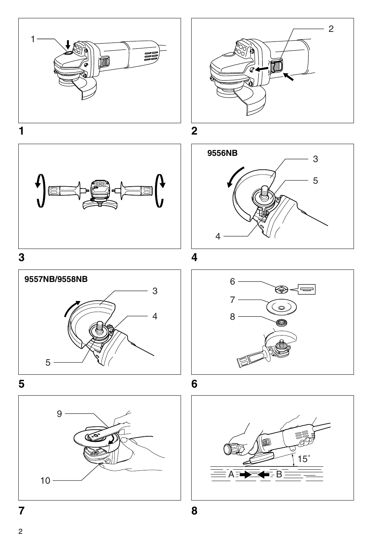













6 ◈ 7 8



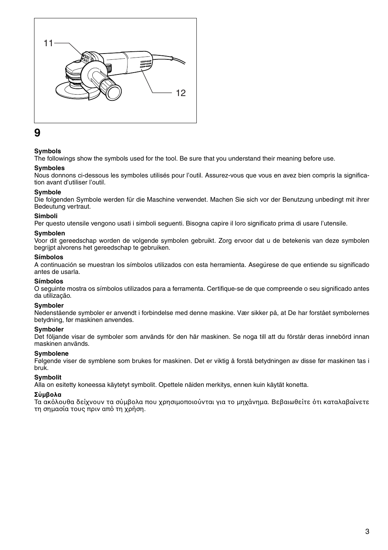

## **9**

## **Symbols**

The followings show the symbols used for the tool. Be sure that you understand their meaning before use.

### **Symboles**

Nous donnons ci-dessous les symboles utilisés pour l'outil. Assurez-vous que vous en avez bien compris la signification avant d'utiliser l'outil.

#### **Symbole**

Die folgenden Symbole werden für die Maschine verwendet. Machen Sie sich vor der Benutzung unbedingt mit ihrer Bedeutung vertraut.

#### **Simboli**

Per questo utensile vengono usati i simboli seguenti. Bisogna capire il loro significato prima di usare l'utensile.

#### **Symbolen**

Voor dit gereedschap worden de volgende symbolen gebruikt. Zorg ervoor dat u de betekenis van deze symbolen begrijpt alvorens het gereedschap te gebruiken.

#### **Símbolos**

A continuación se muestran los símbolos utilizados con esta herramienta. Asegúrese de que entiende su significado antes de usarla.

#### **Símbolos**

O seguinte mostra os símbolos utilizados para a ferramenta. Certifique-se de que compreende o seu significado antes da utilização.

#### **Symboler**

Nedenstående symboler er anvendt i forbindelse med denne maskine. Vær sikker på, at De har forstået symbolernes betydning, før maskinen anvendes.

#### **Symboler**

Det följande visar de symboler som används för den här maskinen. Se noga till att du förstår deras innebörd innan maskinen används.

#### **Symbolene**

Følgende viser de symblene som brukes for maskinen. Det er viktig å forstå betydningen av disse før maskinen tas i bruk.

#### **Symbolit**

Alla on esitetty koneessa käytetyt symbolit. Opettele näiden merkitys, ennen kuin käytät konetta.

#### **Σύµλα**

Τα ακόλουθα δείχνουν τα σύμβολα που χρησιμοποιούνται για το μηχάνημα. Βεβαιωθείτε ότι καταλαβαίνετε τη σημασία τους πριν από τη χρήση.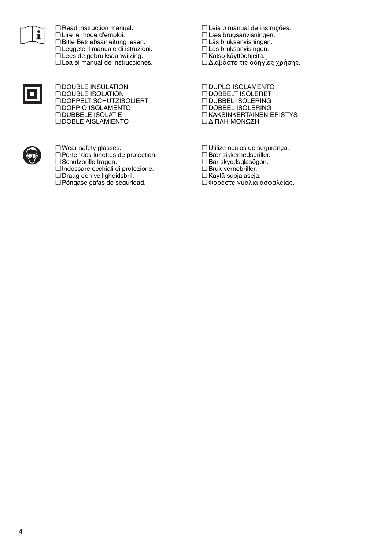

❏ Read instruction manual. ❏ Lire le mode d'emploi. ❏ Bitte Betriebsanleitung lesen. ❏ Leggete il manuale di istruzioni. ❏ Lees de gebruiksaanwijzing. ❏ Lea el manual de instrucciones.



❏ DOUBLE INSULATION ❏ DOUBLE ISOLATION ❏ DOPPELT SCHUTZISOLIERT ❏ DOPPIO ISOLAMENTO ❏ DUBBELE ISOLATIE ❏ DOBLE AISLAMIENTO



❏ Wear safety glasses. ❏ Porter des lunettes de protection.

- ❏ Schutzbrille tragen.
- ❏ Indossare occhiali di protezione.
- ❏ Draag een veiligheidsbril.
- ❏ Póngase gafas de seguridad.

❏ Leia o manual de instruções. ❏ Læs brugsanvisningen. ❏ Läs bruksanvisningen. ❏ Les bruksanvisingen. ❏ Katso käyttöohjeita. ❏ ∆ιαάστε τις δηγίες 
ρήσης.

❏ DUPLO ISOLAMENTO ❏ DOBBELT ISOLERET ❏ DUBBEL ISOLERING ❏ DOBBEL ISOLERING ❏ KAKSINKERTAINEN ERISTYS ❏ ∆ΙΠΛΗ Μ%ΝΩΣΗ

- ❏ Utilize óculos de segurança.
- ❏ Bær sikkerhedsbriller.
- ❏ Bär skyddsglasögon.
- ❏ Bruk vernebriller.
- ❏ Käytä suojalaseja. ❏ Φρέστε γυαλιά ασφαλείας.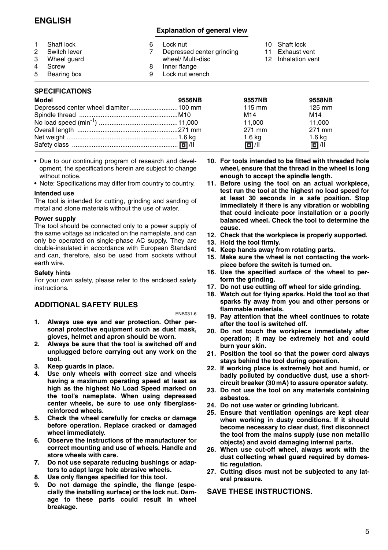## **ENGLISH**

## **Explanation of general view**

| Shaft lock<br>Switch lever<br>3<br>Wheel guard<br>4<br>Screw<br>5<br>Bearing box |  | Lock nut<br>Depressed center grinding<br>wheel/ Multi-disc<br>Inner flange<br>Lock nut wrench |  | 10 Shaft lock<br>Exhaust vent<br>12 Inhalation vent |
|----------------------------------------------------------------------------------|--|-----------------------------------------------------------------------------------------------|--|-----------------------------------------------------|
|----------------------------------------------------------------------------------|--|-----------------------------------------------------------------------------------------------|--|-----------------------------------------------------|

### **SPECIFICATIONS**

| <b>Model</b>                          | 9556NB | <b>9557NB</b>     | 9558NB            |  |
|---------------------------------------|--------|-------------------|-------------------|--|
| Depressed center wheel diamiter100 mm |        | $115 \text{ mm}$  | 125 mm            |  |
|                                       |        | M14               | M <sub>14</sub>   |  |
|                                       |        | 11.000            | 11.000            |  |
|                                       |        | 271 mm            | 271 mm            |  |
|                                       |        | 1.6 <sub>kq</sub> | 1.6 <sub>kq</sub> |  |
|                                       |        | 同川                | 同川                |  |

- Due to our continuing program of research and development, the specifications herein are subject to change without notice.
- Note: Specifications may differ from country to country.

#### **Intended use**

The tool is intended for cutting, grinding and sanding of metal and stone materials without the use of water.

#### **Power supply**

The tool should be connected only to a power supply of the same voltage as indicated on the nameplate, and can only be operated on single-phase AC supply. They are double-insulated in accordance with European Standard and can, therefore, also be used from sockets without earth wire.

#### **Safety hints**

For your own safety, please refer to the enclosed safety instructions.

## **ADDITIONAL SAFETY RULES**

#### ENB031-6

- **1. Always use eye and ear protection. Other personal protective equipment such as dust mask, gloves, helmet and apron should be worn.**
- **2. Always be sure that the tool is switched off and unplugged before carrying out any work on the tool.**
- **3. Keep guards in place.**
- **4. Use only wheels with correct size and wheels having a maximum operating speed at least as high as the highest No Load Speed marked on the tool's nameplate. When using depressed center wheels, be sure to use only fiberglassreinforced wheels.**
- **5. Check the wheel carefully for cracks or damage before operation. Replace cracked or damaged wheel immediately.**
- **6. Observe the instructions of the manufacturer for correct mounting and use of wheels. Handle and store wheels with care.**
- **7. Do not use separate reducing bushings or adaptors to adapt large hole abrasive wheels.**
- **8. Use only flanges specified for this tool.**
- **9. Do not damage the spindle, the flange (especially the installing surface) or the lock nut. Damage to these parts could result in wheel breakage.**
- **10. For tools intended to be fitted with threaded hole wheel, ensure that the thread in the wheel is long enough to accept the spindle length.**
- **11. Before using the tool on an actual workpiece, test run the tool at the highest no load speed for at least 30 seconds in a safe position. Stop immediately if there is any vibration or wobbling that could indicate poor installation or a poorly balanced wheel. Check the tool to determine the cause.**
- **12. Check that the workpiece is properly supported.**
- **13. Hold the tool firmly.**
- **14. Keep hands away from rotating parts.**
- **15. Make sure the wheel is not contacting the workpiece before the switch is turned on.**
- **16. Use the specified surface of the wheel to perform the grinding.**
- **17. Do not use cutting off wheel for side grinding.**
- **18. Watch out for flying sparks. Hold the tool so that sparks fly away from you and other persons or flammable materials.**
- **19. Pay attention that the wheel continues to rotate after the tool is switched off.**
- **20. Do not touch the workpiece immediately after operation; it may be extremely hot and could burn your skin.**
- **21. Position the tool so that the power cord always stays behind the tool during operation.**
- **22. If working place is extremely hot and humid, or badly polluted by conductive dust, use a shortcircuit breaker (30 mA) to assure operator safety.**
- **23. Do not use the tool on any materials containing asbestos.**
- **24. Do not use water or grinding lubricant.**
- **25. Ensure that ventilation openings are kept clear when working in dusty conditions. If it should become necessary to clear dust, first disconnect the tool from the mains supply (use non metallic objects) and avoid damaging internal parts.**
- **26. When use cut-off wheel, always work with the dust collecting wheel guard required by domestic regulation.**
- **27. Cutting discs must not be subjected to any lateral pressure.**

### **SAVE THESE INSTRUCTIONS.**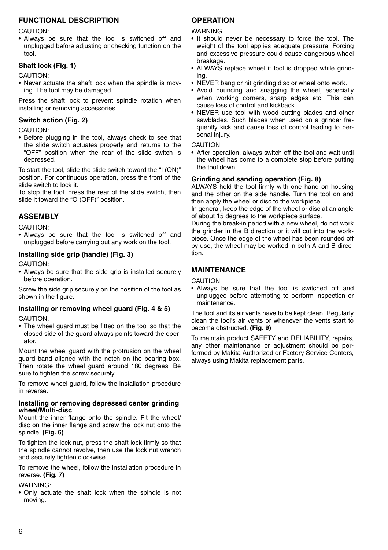## **FUNCTIONAL DESCRIPTION**

CAUTION:

• Always be sure that the tool is switched off and unplugged before adjusting or checking function on the tool.

## **Shaft lock (Fig. 1)**

CAUTION:

• Never actuate the shaft lock when the spindle is moving. The tool may be damaged.

Press the shaft lock to prevent spindle rotation when installing or removing accessories.

## **Switch action (Fig. 2)**

CAUTION:

• Before plugging in the tool, always check to see that the slide switch actuates properly and returns to the "OFF" position when the rear of the slide switch is depressed.

To start the tool, slide the slide switch toward the "I (ON)" position. For continuous operation, press the front of the slide switch to lock it.

To stop the tool, press the rear of the slide switch, then slide it toward the "O (OFF)" position.

## **ASSEMBLY**

CAUTION:

• Always be sure that the tool is switched off and unplugged before carrying out any work on the tool.

## **Installing side grip (handle) (Fig. 3)**

CAUTION:

• Always be sure that the side grip is installed securely before operation.

Screw the side grip securely on the position of the tool as shown in the figure.

### **Installing or removing wheel guard (Fig. 4 & 5)**

CAUTION:

• The wheel guard must be fitted on the tool so that the closed side of the guard always points toward the operator.

Mount the wheel guard with the protrusion on the wheel guard band aligned with the notch on the bearing box. Then rotate the wheel guard around 180 degrees. Be sure to tighten the screw securely.

To remove wheel guard, follow the installation procedure in reverse.

#### **Installing or removing depressed center grinding wheel/Multi-disc**

Mount the inner flange onto the spindle. Fit the wheel/ disc on the inner flange and screw the lock nut onto the spindle. **(Fig. 6)**

To tighten the lock nut, press the shaft lock firmly so that the spindle cannot revolve, then use the lock nut wrench and securely tighten clockwise.

To remove the wheel, follow the installation procedure in reverse. **(Fig. 7)**

WARNING:

• Only actuate the shaft lock when the spindle is not moving.

## **OPERATION**

WARNING:

- It should never be necessary to force the tool. The weight of the tool applies adequate pressure. Forcing and excessive pressure could cause dangerous wheel breakage.
- ALWAYS replace wheel if tool is dropped while grinding.
- NEVER bang or hit grinding disc or wheel onto work.
- Avoid bouncing and snagging the wheel, especially when working corners, sharp edges etc. This can cause loss of control and kickback.
- NEVER use tool with wood cutting blades and other sawblades. Such blades when used on a grinder frequently kick and cause loss of control leading to personal injury.

### CAUTION:

• After operation, always switch off the tool and wait until the wheel has come to a complete stop before putting the tool down.

## **Grinding and sanding operation (Fig. 8)**

ALWAYS hold the tool firmly with one hand on housing and the other on the side handle. Turn the tool on and then apply the wheel or disc to the workpiece.

In general, keep the edge of the wheel or disc at an angle of about 15 degrees to the workpiece surface.

During the break-in period with a new wheel, do not work the grinder in the B direction or it will cut into the workpiece. Once the edge of the wheel has been rounded off by use, the wheel may be worked in both A and B direction.

## **MAINTENANCE**

CAUTION:

• Always be sure that the tool is switched off and unplugged before attempting to perform inspection or maintenance.

The tool and its air vents have to be kept clean. Regularly clean the tool's air vents or whenever the vents start to become obstructed. **(Fig. 9)**

To maintain product SAFETY and RELIABILITY, repairs, any other maintenance or adjustment should be performed by Makita Authorized or Factory Service Centers, always using Makita replacement parts.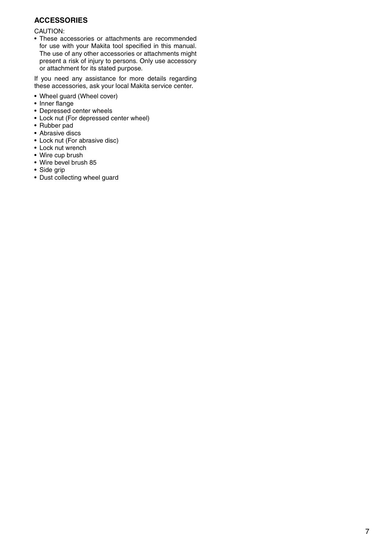## **ACCESSORIES**

CAUTION:

• These accessories or attachments are recommended for use with your Makita tool specified in this manual. The use of any other accessories or attachments might present a risk of injury to persons. Only use accessory or attachment for its stated purpose.

If you need any assistance for more details regarding these accessories, ask your local Makita service center.

- Wheel guard (Wheel cover)
- Inner flange
- Depressed center wheels
- Lock nut (For depressed center wheel)
- Rubber pad
- Abrasive discs
- Lock nut (For abrasive disc)
- Lock nut wrench
- Wire cup brush
- Wire bevel brush 85
- Side grip
- Dust collecting wheel guard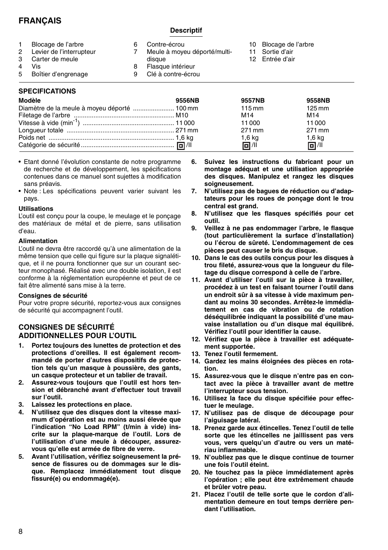## **FRANÇAIS**

## **Descriptif**

| $\mathbf{2}^{\circ}$<br>5 | Blocage de l'arbre<br>Levier de l'interrupteur<br>Carter de meule<br>Vis<br>Boîtier d'engrenage | Contre-écrou<br>Meule à moyeu déporté/multi-<br>disaue<br>Flasque intérieur<br>Clé à contre-écrou | 10 Blocage de l'arbre<br>Sortie d'air<br>12 Entrée d'air |
|---------------------------|-------------------------------------------------------------------------------------------------|---------------------------------------------------------------------------------------------------|----------------------------------------------------------|
|                           |                                                                                                 |                                                                                                   |                                                          |

## **SPECIFICATIONS**

| Modèle | 9556NB | 9557NB           | 9558NB              |
|--------|--------|------------------|---------------------|
|        |        | $115 \text{ mm}$ | $125 \,\mathrm{mm}$ |
|        |        | M <sub>14</sub>  | M <sub>14</sub>     |
|        |        | 11000            | 11000               |
|        |        | 271 mm           | 271 mm              |
|        |        | $1,6$ kg         | $1,6$ kg            |
|        |        | 回 / 11           | 回川                  |

- Etant donné l'évolution constante de notre programme de recherche et de développement, les spécifications contenues dans ce manuel sont sujettes à modification sans préavis.
- Note : Les spécifications peuvent varier suivant les pays.

#### **Utilisations**

L'outil est conçu pour la coupe, le meulage et le ponçage des matériaux de métal et de pierre, sans utilisation d'eau.

#### **Alimentation**

L'outil ne devra être raccordé qu'à une alimentation de la même tension que celle qui figure sur la plaque signalétique, et il ne pourra fonctionner que sur un courant secteur monophasé. Réalisé avec une double isolation, il est conforme à la réglementation européenne et peut de ce fait être alimenté sans mise à la terre.

#### **Consignes de sécurité**

Pour votre propre sécurité, reportez-vous aux consignes de sécurité qui accompagnent l'outil.

## **CONSIGNES DE SÉCURITÉ ADDITIONNELLES POUR L'OUTIL**

- **1. Portez toujours des lunettes de protection et des protections d'oreilles. Il est également recommandé de porter d'autres dispositifs de protection tels qu'un masque à poussière, des gants, un casque protecteur et un tablier de travail.**
- **2. Assurez-vous toujours que l'outil est hors tension et débranché avant d'effectuer tout travail sur l'outil.**
- **3. Laissez les protections en place.**
- **4. N'utilisez que des disques dont la vitesse maximum d'opération est au moins aussi élevée que l'indication "No Load RPM" (t/min à vide) inscrite sur la plaque-marque de l'outil. Lors de l'utilisation d'une meule à découper, assurezvous qu'elle est armée de fibre de verre.**
- **5. Avant l'utilisation, vérifiez soigneusement la présence de fissures ou de dommages sur le disque. Remplacez immédiatement tout disque fissuré(e) ou endommagé(e).**
- **6. Suivez les instructions du fabricant pour un montage adéquat et une utilisation appropriée des disques. Manipulez et rangez les disques soigneusement.**
- **7. N'utilisez pas de bagues de réduction ou d'adaptateurs pour les roues de ponçage dont le trou central est grand.**
- **8. N'utilisez que les flasques spécifiés pour cet outil.**
- **9. Veillez à ne pas endommager l'arbre, le flasque (tout particulièrement la surface d'installation) ou l'écrou de sûreté. L'endommagement de ces pièces peut causer le bris du disque.**
- **10. Dans le cas des outils conçus pour les disques à trou fileté, assurez-vous que la longueur du filetage du disque correspond à celle de l'arbre.**
- **11. Avant d'utiliser l'outil sur la pièce à travailler, procédez à un test en faisant tourner l'outil dans un endroit sûr à sa vitesse à vide maximum pendant au moins 30 secondes. Arrêtez-le immédiatement en cas de vibration ou de rotation déséquilibrée indiquant la possibilité d'une mauvaise installation ou d'un disque mal équilibré. Vérifiez l'outil pour identifier la cause.**
- **12. Vérifiez que la pièce à travailler est adéquatement supportée.**
- **13. Tenez l'outil fermement.**
- **14. Gardez les mains éloignées des pièces en rotation.**
- **15. Assurez-vous que le disque n'entre pas en contact avec la pièce à travailler avant de mettre l'interrupteur sous tension.**
- **16. Utilisez la face du disque spécifiée pour effectuer le meulage.**
- **17. N'utilisez pas de disque de découpage pour l'aiguisage latéral.**
- **18. Prenez garde aux étincelles. Tenez l'outil de telle sorte que les étincelles ne jaillissent pas vers vous, vers quelqu'un d'autre ou vers un matériau inflammable.**
- **19. N'oubliez pas que le disque continue de tourner une fois l'outil éteint.**
- **20. Ne touchez pas la pièce immédiatement après l'opération ; elle peut être extrêmement chaude et brûler votre peau.**
- **21. Placez l'outil de telle sorte que le cordon d'alimentation demeure en tout temps derrière pendant l'utilisation.**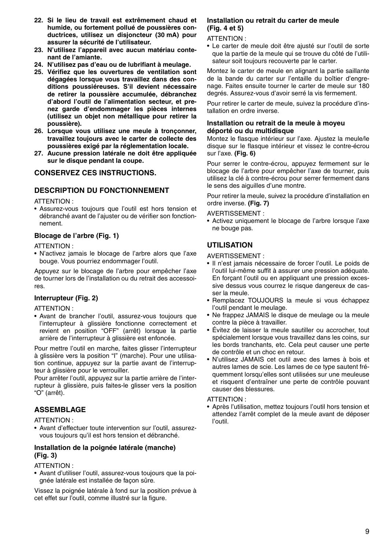- **22. Si le lieu de travail est extrêmement chaud et humide, ou fortement pollué de poussières conductrices, utilisez un disjoncteur (30 mA) pour assurer la sécurité de l'utilisateur.**
- **23. N'utilisez l'appareil avec aucun matériau contenant de l'amiante.**
- **24. N'utilisez pas d'eau ou de lubrifiant à meulage.**
- **25. Vérifiez que les ouvertures de ventilation sont dégagées lorsque vous travaillez dans des conditions poussiéreuses. S'il devient nécessaire de retirer la poussière accumulée, débranchez d'abord l'outil de l'alimentation secteur, et prenez garde d'endommager les pièces internes (utilisez un objet non métallique pour retirer la poussière).**
- **26. Lorsque vous utilisez une meule à tronçonner, travaillez toujours avec le carter de collecte des poussières exigé par la réglementation locale.**
- **27. Aucune pression latérale ne doit être appliquée sur le disque pendant la coupe.**

## **CONSERVEZ CES INSTRUCTIONS.**

## **DESCRIPTION DU FONCTIONNEMENT**

#### ATTENTION :

• Assurez-vous toujours que l'outil est hors tension et débranché avant de l'ajuster ou de vérifier son fonctionnement.

## **Blocage de l'arbre (Fig. 1)**

#### ATTENTION :

• N'activez jamais le blocage de l'arbre alors que l'axe bouge. Vous pourriez endommager l'outil.

Appuyez sur le blocage de l'arbre pour empêcher l'axe de tourner lors de l'installation ou du retrait des accessoires.

## **Interrupteur (Fig. 2)**

ATTENTION :

• Avant de brancher l'outil, assurez-vous toujours que l'interrupteur à glissière fonctionne correctement et revient en position "OFF" (arrêt) lorsque la partie arrière de l'interrupteur à glissière est enfoncée.

Pour mettre l'outil en marche, faites glisser l'interrupteur à glissière vers la position "I" (marche). Pour une utilisation continue, appuyez sur la partie avant de l'interrupteur à glissière pour le verrouiller.

Pour arrêter l'outil, appuyez sur la partie arrière de l'interrupteur à glissière, puis faites-le glisser vers la position "O" (arrêt).

## **ASSEMBLAGE**

### ATTENTION :

• Avant d'effectuer toute intervention sur l'outil, assurezvous toujours qu'il est hors tension et débranché.

### **Installation de la poignée latérale (manche) (Fig. 3)**

### ATTENTION :

• Avant d'utiliser l'outil, assurez-vous toujours que la poignée latérale est installée de façon sûre.

Vissez la poignée latérale à fond sur la position prévue à cet effet sur l'outil, comme illustré sur la figure.

#### **Installation ou retrait du carter de meule (Fig. 4 et 5)**

### ATTENTION :

• Le carter de meule doit être ajusté sur l'outil de sorte que la partie de la meule qui se trouve du côté de l'utilisateur soit toujours recouverte par le carter.

Montez le carter de meule en alignant la partie saillante de la bande du carter sur l'entaille du boîtier d'engrenage. Faites ensuite tourner le carter de meule sur 180 degrés. Assurez-vous d'avoir serré la vis fermement.

Pour retirer le carter de meule, suivez la procédure d'installation en ordre inverse.

### **Installation ou retrait de la meule à moyeu déporté ou du multidisque**

Montez le flasque intérieur sur l'axe. Ajustez la meule/le disque sur le flasque intérieur et vissez le contre-écrou sur l'axe. **(Fig. 6)**

Pour serrer le contre-écrou, appuyez fermement sur le blocage de l'arbre pour empêcher l'axe de tourner, puis utilisez la clé à contre-écrou pour serrer fermement dans le sens des aiguilles d'une montre.

Pour retirer la meule, suivez la procédure d'installation en ordre inverse. **(Fig. 7)**

AVERTISSEMENT :

• Activez uniquement le blocage de l'arbre lorsque l'axe ne bouge pas.

## **UTILISATION**

AVERTISSEMENT :

- Il n'est jamais nécessaire de forcer l'outil. Le poids de l'outil lui-même suffit à assurer une pression adéquate. En forçant l'outil ou en appliquant une pression excessive dessus vous courrez le risque dangereux de casser la meule.
- Remplacez TOUJOURS la meule si vous échappez l'outil pendant le meulage.
- Ne frappez JAMAIS le disque de meulage ou la meule contre la pièce à travailler.
- Évitez de laisser la meule sautiller ou accrocher, tout spécialement lorsque vous travaillez dans les coins, sur les bords tranchants, etc. Cela peut causer une perte de contrôle et un choc en retour.
- N'utilisez JAMAIS cet outil avec des lames à bois et autres lames de scie. Les lames de ce type sautent fréquemment lorsqu'elles sont utilisées sur une meuleuse et risquent d'entraîner une perte de contrôle pouvant causer des blessures.

ATTENTION :

• Après l'utilisation, mettez toujours l'outil hors tension et attendez l'arrêt complet de la meule avant de déposer l'outil.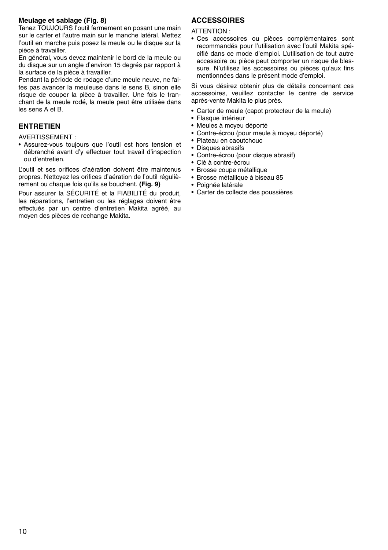## **Meulage et sablage (Fig. 8)**

Tenez TOUJOURS l'outil fermement en posant une main sur le carter et l'autre main sur le manche latéral. Mettez l'outil en marche puis posez la meule ou le disque sur la pièce à travailler.

En général, vous devez maintenir le bord de la meule ou du disque sur un angle d'environ 15 degrés par rapport à la surface de la pièce à travailler.

Pendant la période de rodage d'une meule neuve, ne faites pas avancer la meuleuse dans le sens B, sinon elle risque de couper la pièce à travailler. Une fois le tranchant de la meule rodé, la meule peut être utilisée dans les sens A et B.

## **ENTRETIEN**

AVERTISSEMENT :

• Assurez-vous toujours que l'outil est hors tension et débranché avant d'y effectuer tout travail d'inspection ou d'entretien.

L'outil et ses orifices d'aération doivent être maintenus propres. Nettoyez les orifices d'aération de l'outil régulièrement ou chaque fois qu'ils se bouchent. **(Fig. 9)**

Pour assurer la SÉCURITÉ et la FIABILITÉ du produit, les réparations, l'entretien ou les réglages doivent être effectués par un centre d'entretien Makita agréé, au moyen des pièces de rechange Makita.

## **ACCESSOIRES**

ATTENTION :

• Ces accessoires ou pièces complémentaires sont recommandés pour l'utilisation avec l'outil Makita spécifié dans ce mode d'emploi. L'utilisation de tout autre accessoire ou pièce peut comporter un risque de blessure. N'utilisez les accessoires ou pièces qu'aux fins mentionnées dans le présent mode d'emploi.

Si vous désirez obtenir plus de détails concernant ces accessoires, veuillez contacter le centre de service après-vente Makita le plus près.

- Carter de meule (capot protecteur de la meule)
- Flasque intérieur
- Meules à moyeu déporté
- Contre-écrou (pour meule à moyeu déporté)
- Plateau en caoutchouc
- Disques abrasifs
- Contre-écrou (pour disque abrasif)
- Clé à contre-écrou
- Brosse coupe métallique
- Brosse métallique à biseau 85
- Poignée latérale
- Carter de collecte des poussières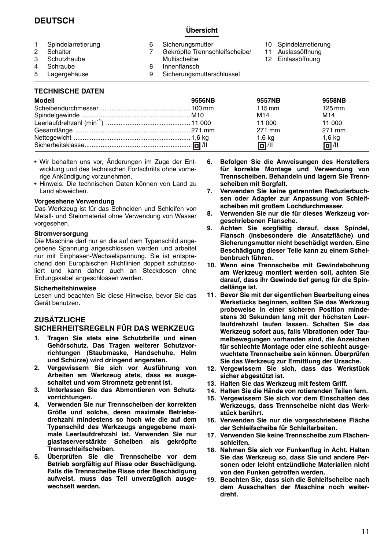## **DEUTSCH**

## **Übersicht**

9 Sicherungsmutterschlüssel

- 1 Spindelarretierung<br>2 Schalter 2 Schalter<br>3 Schutzh 3 Schutzhaube 6 Sicherungsmutter<br>7 Gekrönfte Trenner 7 Gekröpfte Trennschleifscheibe/ Multischeibe 8 Innenflansch<br>9 Sicherungsm 10 Spindelarretierung 11 Auslassöffnung 12 Einlassöffnung
- 4 Schraube<br>5 Lagergeh
	-
- **Lagergehäuse**

## **TECHNISCHE DATEN**

| Modell | 9556NB | 9557NB           | 9558NB              |
|--------|--------|------------------|---------------------|
|        |        | $115 \text{ mm}$ | $125 \,\mathrm{mm}$ |
|        |        | M14              | M <sub>14</sub>     |
|        |        | 11 000           | 11 000              |
|        |        | 271 mm           | 271 mm              |
|        |        | 1,6 kg           | $1,6$ kg            |
|        |        | 回 / 11           | 回 /1                |

- Wir behalten uns vor, Änderungen im Zuge der Entwicklung und des technischen Fortschritts ohne vorherige Ankündigung vorzunehmen.
- Hinweis: Die technischen Daten können von Land zu Land abweichen.

#### **Vorgesehene Verwendung**

Das Werkzeug ist für das Schneiden und Schleifen von Metall- und Steinmaterial ohne Verwendung von Wasser vorgesehen.

#### **Stromversorgung**

Die Maschine darf nur an die auf dem Typenschild angegebene Spannung angeschlossen werden und arbeitet nur mit Einphasen-Wechselspannung. Sie ist entsprechend den Europäischen Richtlinien doppelt schutzisoliert und kann daher auch an Steckdosen ohne Erdungskabel angeschlossen werden.

#### **Sicherheitshinweise**

Lesen und beachten Sie diese Hinweise, bevor Sie das Gerät benutzen.

## **ZUSÄTZLICHE**

## **SICHERHEITSREGELN FÜR DAS WERKZEUG**

- **1. Tragen Sie stets eine Schutzbrille und einen Gehörschutz. Das Tragen weiterer Schutzvorrichtungen (Staubmaske, Handschuhe, Helm und Schürze) wird dringend angeraten.**
- **2. Vergewissern Sie sich vor Ausführung von Arbeiten am Werkzeug stets, dass es ausgeschaltet und vom Stromnetz getrennt ist.**
- **3. Unterlassen Sie das Abmontieren von Schutzvorrichtungen.**
- **4. Verwenden Sie nur Trennscheiben der korrekten Größe und solche, deren maximale Betriebsdrehzahl mindestens so hoch wie die auf dem Typenschild des Werkzeugs angegebene maximale Leerlaufdrehzahl ist. Verwenden Sie nur glasfaserverstärkte Scheiben als gekröpfte Trennschleifscheiben.**
- **5. Überprüfen Sie die Trennscheibe vor dem Betrieb sorgfältig auf Risse oder Beschädigung. Falls die Trennscheibe Risse oder Beschädigung aufweist, muss das Teil unverzüglich ausgewechselt werden.**
- **6. Befolgen Sie die Anweisungen des Herstellers für korrekte Montage und Verwendung von Trennscheiben. Behandeln und lagern Sie Trennscheiben mit Sorgfalt.**
- **7. Verwenden Sie keine getrennten Reduzierbuchsen oder Adapter zur Anpassung von Schleifscheiben mit großem Lochdurchmesser.**
- **8. Verwenden Sie nur die für dieses Werkzeug vorgeschriebenen Flansche.**
- **9. Achten Sie sorgfältig darauf, dass Spindel, Flansch (insbesondere die Ansatzfläche) und Sicherungsmutter nicht beschädigt werden. Eine Beschädigung dieser Teile kann zu einem Scheibenbruch führen.**
- **10. Wenn eine Trennscheibe mit Gewindebohrung am Werkzeug montiert werden soll, achten Sie darauf, dass ihr Gewinde tief genug für die Spindellänge ist.**
- **11. Bevor Sie mit der eigentlichen Bearbeitung eines Werkstücks beginnen, sollten Sie das Werkzeug probeweise in einer sicheren Position mindestens 30 Sekunden lang mit der höchsten Leerlaufdrehzahl laufen lassen. Schalten Sie das Werkzeug sofort aus, falls Vibrationen oder Taumelbewegungen vorhanden sind, die Anzeichen für schlechte Montage oder eine schlecht ausgewuchtete Trennscheibe sein können. Überprüfen Sie das Werkzeug zur Ermittlung der Ursache.**
- **12. Vergewissern Sie sich, dass das Werkstück sicher abgestützt ist.**
- **13. Halten Sie das Werkzeug mit festem Griff.**
- **14. Halten Sie die Hände von rotierenden Teilen fern.**
- **15. Vergewissern Sie sich vor dem Einschalten des Werkzeugs, dass Trennscheibe nicht das Werkstück berührt.**
- **16. Verwenden Sie nur die vorgeschriebene Fläche der Schleifscheibe für Schleifarbeiten.**
- **17. Verwenden Sie keine Trennscheibe zum Flächenschleifen.**
- **18. Nehmen Sie sich vor Funkenflug in Acht. Halten Sie das Werkzeug so, dass Sie und andere Personen oder leicht entzündliche Materialien nicht von den Funken getroffen werden.**
- **19. Beachten Sie, dass sich die Schleifscheibe nach dem Ausschalten der Maschine noch weiterdreht.**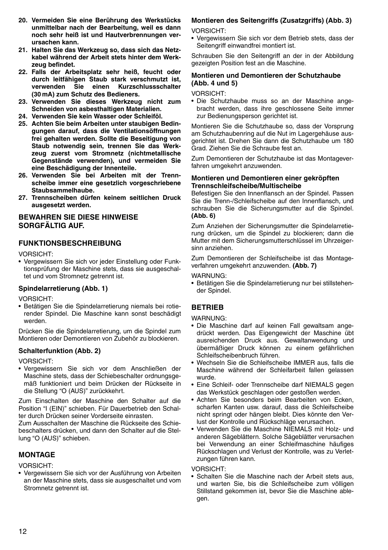- **20. Vermeiden Sie eine Berührung des Werkstücks unmittelbar nach der Bearbeitung, weil es dann noch sehr heiß ist und Hautverbrennungen verursachen kann.**
- **21. Halten Sie das Werkzeug so, dass sich das Netzkabel während der Arbeit stets hinter dem Werkzeug befindet.**
- **22. Falls der Arbeitsplatz sehr heiß, feucht oder durch leitfähigen Staub stark verschmutzt ist, verwenden Sie einen Kurzschlussschalter (30 mA) zum Schutz des Bedieners.**
- **23. Verwenden Sie dieses Werkzeug nicht zum Schneiden von asbesthaltigen Materialien.**
- **24. Verwenden Sie kein Wasser oder Schleiföl.**
- **25. Achten Sie beim Arbeiten unter staubigen Bedingungen darauf, dass die Ventilationsöffnungen frei gehalten werden. Sollte die Beseitigung von Staub notwendig sein, trennen Sie das Werkzeug zuerst vom Stromnetz (nichtmetallische Gegenstände verwenden), und vermeiden Sie eine Beschädigung der Innenteile.**
- **26. Verwenden Sie bei Arbeiten mit der Trennscheibe immer eine gesetzlich vorgeschriebene Staubsammelhaube.**
- **27. Trennscheiben dürfen keinem seitlichen Druck ausgesetzt werden.**

## **BEWAHREN SIE DIESE HINWEISE SORGFÄLTIG AUF.**

### **FUNKTIONSBESCHREIBUNG**

VORSICHT:

• Vergewissern Sie sich vor jeder Einstellung oder Funktionsprüfung der Maschine stets, dass sie ausgeschaltet und vom Stromnetz getrennt ist.

#### **Spindelarretierung (Abb. 1)**

VORSICHT:

• Betätigen Sie die Spindelarretierung niemals bei rotierender Spindel. Die Maschine kann sonst beschädigt werden.

Drücken Sie die Spindelarretierung, um die Spindel zum Montieren oder Demontieren von Zubehör zu blockieren.

#### **Schalterfunktion (Abb. 2)**

VORSICHT:

• Vergewissern Sie sich vor dem Anschließen der Maschine stets, dass der Schiebeschalter ordnungsgemäß funktioniert und beim Drücken der Rückseite in die Stellung "O (AUS)" zurückkehrt.

Zum Einschalten der Maschine den Schalter auf die Position "I (EIN)" schieben. Für Dauerbetrieb den Schalter durch Drücken seiner Vorderseite einrasten.

Zum Ausschalten der Maschine die Rückseite des Schiebeschalters drücken, und dann den Schalter auf die Stellung "O (AUS)" schieben.

## **MONTAGE**

VORSICHT:

• Vergewissern Sie sich vor der Ausführung von Arbeiten an der Maschine stets, dass sie ausgeschaltet und vom Stromnetz getrennt ist.

#### **Montieren des Seitengriffs (Zusatzgriffs) (Abb. 3)**

VORSICHT:

• Vergewissern Sie sich vor dem Betrieb stets, dass der Seitengriff einwandfrei montiert ist.

Schrauben Sie den Seitengriff an der in der Abbildung gezeigten Position fest an die Maschine.

## **Montieren und Demontieren der Schutzhaube (Abb. 4 und 5)**

VORSICHT:

• Die Schutzhaube muss so an der Maschine angebracht werden, dass ihre geschlossene Seite immer zur Bedienungsperson gerichtet ist.

Montieren Sie die Schutzhaube so, dass der Vorsprung am Schutzhaubenring auf die Nut im Lagergehäuse ausgerichtet ist. Drehen Sie dann die Schutzhaube um 180 Grad. Ziehen Sie die Schraube fest an.

Zum Demontieren der Schutzhaube ist das Montageverfahren umgekehrt anzuwenden.

#### **Montieren und Demontieren einer gekröpften Trennschleifscheibe/Multischeibe**

Befestigen Sie den Innenflansch an der Spindel. Passen Sie die Trenn-/Schleifscheibe auf den Innenflansch, und schrauben Sie die Sicherungsmutter auf die Spindel. **(Abb. 6)**

Zum Anziehen der Sicherungsmutter die Spindelarretierung drücken, um die Spindel zu blockieren; dann die Mutter mit dem Sicherungsmutterschlüssel im Uhrzeigersinn anziehen.

Zum Demontieren der Schleifscheibe ist das Montageverfahren umgekehrt anzuwenden. **(Abb. 7)**

WARNUNG:

• Betätigen Sie die Spindelarretierung nur bei stillstehender Spindel.

## **BETRIEB**

WARNUNG:

- Die Maschine darf auf keinen Fall gewaltsam angedrückt werden. Das Eigengewicht der Maschine übt ausreichenden Druck aus. Gewaltanwendung und übermäßiger Druck können zu einem gefährlichen Schleifscheibenbruch führen.
- Wechseln Sie die Schleifscheibe IMMER aus, falls die Maschine während der Schleifarbeit fallen gelassen wurde.
- Eine Schleif- oder Trennscheibe darf NIEMALS gegen das Werkstück geschlagen oder gestoßen werden.
- Achten Sie besonders beim Bearbeiten von Ecken, scharfen Kanten usw. darauf, dass die Schleifscheibe nicht springt oder hängen bleibt. Dies könnte den Verlust der Kontrolle und Rückschläge verursachen.
- Verwenden Sie die Maschine NIEMALS mit Holz- und anderen Sägeblättern. Solche Sägeblätter verursachen bei Verwendung an einer Schleifmaschine häufiges Rückschlagen und Verlust der Kontrolle, was zu Verletzungen führen kann.

VORSICHT:

• Schalten Sie die Maschine nach der Arbeit stets aus, und warten Sie, bis die Schleifscheibe zum völligen Stillstand gekommen ist, bevor Sie die Maschine ablegen.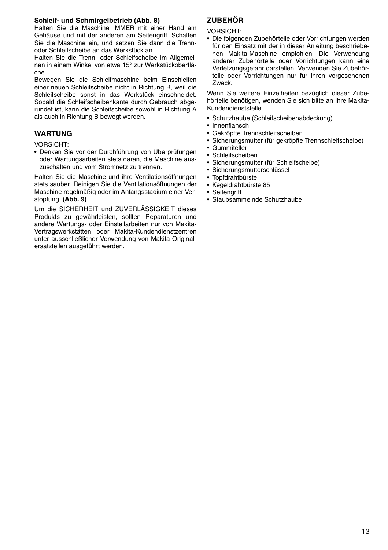### **Schleif- und Schmirgelbetrieb (Abb. 8)**

Halten Sie die Maschine IMMER mit einer Hand am Gehäuse und mit der anderen am Seitengriff. Schalten Sie die Maschine ein, und setzen Sie dann die Trennoder Schleifscheibe an das Werkstück an.

Halten Sie die Trenn- oder Schleifscheibe im Allgemeinen in einem Winkel von etwa 15° zur Werkstückoberfläche.

Bewegen Sie die Schleifmaschine beim Einschleifen einer neuen Schleifscheibe nicht in Richtung B, weil die Schleifscheibe sonst in das Werkstück einschneidet. Sobald die Schleifscheibenkante durch Gebrauch abgerundet ist, kann die Schleifscheibe sowohl in Richtung A als auch in Richtung B bewegt werden.

## **WARTUNG**

VORSICHT:

• Denken Sie vor der Durchführung von Überprüfungen oder Wartungsarbeiten stets daran, die Maschine auszuschalten und vom Stromnetz zu trennen.

Halten Sie die Maschine und ihre Ventilationsöffnungen stets sauber. Reinigen Sie die Ventilationsöffnungen der Maschine regelmäßig oder im Anfangsstadium einer Verstopfung. **(Abb. 9)**

Um die SICHERHEIT und ZUVERLÄSSIGKEIT dieses Produkts zu gewährleisten, sollten Reparaturen und andere Wartungs- oder Einstellarbeiten nur von Makita-Vertragswerkstätten oder Makita-Kundendienstzentren unter ausschließlicher Verwendung von Makita-Originalersatzteilen ausgeführt werden.

## **ZUBEHÖR**

VORSICHT:

• Die folgenden Zubehörteile oder Vorrichtungen werden für den Einsatz mit der in dieser Anleitung beschriebenen Makita-Maschine empfohlen. Die Verwendung anderer Zubehörteile oder Vorrichtungen kann eine Verletzungsgefahr darstellen. Verwenden Sie Zubehörteile oder Vorrichtungen nur für ihren vorgesehenen Zweck.

Wenn Sie weitere Einzelheiten bezüglich dieser Zubehörteile benötigen, wenden Sie sich bitte an Ihre Makita-Kundendienststelle.

- Schutzhaube (Schleifscheibenabdeckung)
- Innenflansch
- Gekröpfte Trennschleifscheiben
- Sicherungsmutter (für gekröpfte Trennschleifscheibe)
- Gummiteller
- Schleifscheiben
- Sicherungsmutter (für Schleifscheibe)
- Sicherungsmutterschlüssel
- Topfdrahtbürste
- Kegeldrahtbürste 85
- Seitenariff
- Staubsammelnde Schutzhaube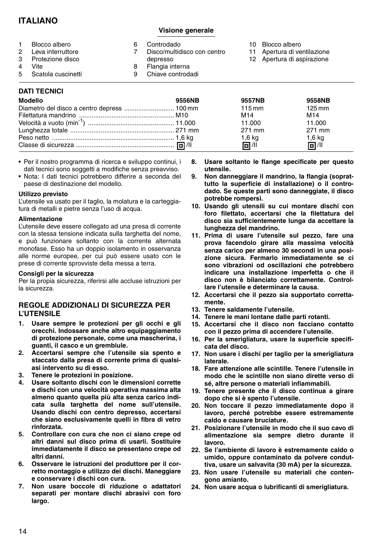## **ITALIANO**

## **Visione generale**

| $\mathcal{P}$<br>5. | Blocco albero<br>Leva interruttore<br>Protezione disco<br>Vite<br>Scatola cuscinetti | 8 | Controdado<br>Disco/multidisco con centro<br>depresso<br>Flangia interna<br>Chiave controdadi | 10 Blocco albero<br>11 Apertura di ventilazione<br>12 Apertura di aspirazione |
|---------------------|--------------------------------------------------------------------------------------|---|-----------------------------------------------------------------------------------------------|-------------------------------------------------------------------------------|
|                     | DATI TECNICI                                                                         |   |                                                                                               |                                                                               |

| <b>Modello</b> | 9556NB | 9557NB           | 9558NB              |
|----------------|--------|------------------|---------------------|
|                |        | $115 \text{ mm}$ | $125 \,\mathrm{mm}$ |
|                |        | M <sub>14</sub>  | M14                 |
|                |        | 11.000           | 11.000              |
|                |        | 271 mm           | 271 mm              |
|                |        | $1,6$ kg         | $1,6$ kg            |
|                |        | 同川               | 回 /                 |

- Per il nostro programma di ricerca e sviluppo continui, i dati tecnici sono soggetti a modifiche senza preavviso.
- Nota: I dati tecnici potrebbero differire a seconda del paese di destinazione del modello.

#### **Utilizzo previsto**

L'utensile va usato per il taglio, la molatura e la carteggiatura di metalli e pietre senza l'uso di acqua.

#### **Alimentazione**

L'utensile deve essere collegato ad una presa di corrente con la stessa tensione indicata sulla targhetta del nome, e può funzionare soltanto con la corrente alternata monofase. Esso ha un doppio isolamento in osservanza alle norme europee, per cui può essere usato con le prese di corrente sprovviste della messa a terra.

#### **Consigli per la sicurezza**

Per la propia sicurezza, riferirsi alle accluse istruzioni per la sicurezza.

## **REGOLE ADDIZIONALI DI SICUREZZA PER L'UTENSILE**

- **1. Usare sempre le protezioni per gli occhi e gli orecchi. Indossare anche altro equipaggiamento di protezione personale, come una mascherina, i guanti, il casco e un grembiule.**
- **2. Accertarsi sempre che l'utensile sia spento e staccato dalla presa di corrente prima di qualsiasi intervento su di esso.**
- **3. Tenere le protezioni in posizione.**
- **4. Usare soltanto dischi con le dimensioni corrette e dischi con una velocità operativa massima alta almeno quanto quella più alta senza carico indicata sulla targhetta del nome sull'utensile. Usando dischi con centro depresso, accertarsi che siano esclusivamente quelli in fibra di vetro rinforzata.**
- **5. Controllare con cura che non ci siano crepe od altri danni sul disco prima di usarli. Sostituire immediatamente il disco se presentano crepe od altri danni.**
- **6. Osservare le istruzioni del produttore per il corretto montaggio e utilizzo dei dischi. Maneggiare e conservare i dischi con cura.**
- **7. Non usare boccole di riduzione o adattatori separati per montare dischi abrasivi con foro largo.**
- **8. Usare soltanto le flange specificate per questo utensile.**
- **9. Non danneggiare il mandrino, la flangia (soprattutto la superficie di installazione) o il controdado. Se queste parti sono danneggiate, il disco potrebbe rompersi.**
- **10. Usando gli utensili su cui montare dischi con foro filettato, accertarsi che la filettatura del disco sia sufficientemente lunga da accettare la lunghezza del mandrino.**
- **11. Prima di usare l'utensile sul pezzo, fare una prova facendolo girare alla massima velocità senza carico per almeno 30 secondi in una posizione sicura. Fermarlo immediatamente se ci sono vibrazioni od oscillazioni che potrebbero indicare una installazione imperfetta o che il disco non è bilanciato correttamente. Controllare l'utensile e determinare la causa.**
- **12. Accertarsi che il pezzo sia supportato correttamente.**
- **13. Tenere saldamente l'utensile.**
- **14. Tenere le mani lontane dalle parti rotanti.**
- **15. Accertarsi che il disco non facciano contatto con il pezzo prima di accendere l'utensile.**
- **16. Per la smerigliatura, usare la superficie specificata del disco.**
- **17. Non usare i dischi per taglio per la smerigliatura laterale.**
- **18. Fare attenzione alle scintille. Tenere l'utensile in modo che le scintille non siano dirette verso di sé, altre persone o materiali infiammabili.**
- **19. Tenere presente che il disco continua a girare dopo che si è spento l'utensile.**
- **20. Non toccare il pezzo immediatamente dopo il lavoro, perché potrebbe essere estremamente caldo e causare bruciature.**
- **21. Posizionare l'utensile in modo che il suo cavo di alimentazione sia sempre dietro durante il lavoro.**
- **22. Se l'ambiente di lavoro è estremamente caldo o umido, oppure contaminato da polvere conduttiva, usare un salvavita (30 mA) per la sicurezza.**
- **23. Non usare l'utensile su materiali che contengono amianto.**
- **24. Non usare acqua o lubrificanti di smerigliatura.**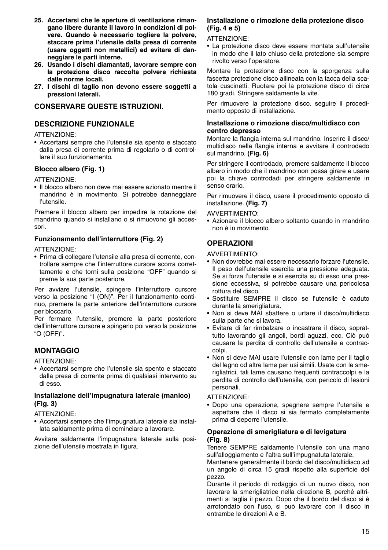- **25. Accertarsi che le aperture di ventilazione rimangano libere durante il lavoro in condizioni di polvere. Quando è necessario togliere la polvere, staccare prima l'utensile dalla presa di corrente (usare oggetti non metallici) ed evitare di danneggiare le parti interne.**
- **26. Usando i dischi diamantati, lavorare sempre con la protezione disco raccolta polvere richiesta dalle norme locali.**
- **27. I dischi di taglio non devono essere soggetti a pressioni laterali.**

## **CONSERVARE QUESTE ISTRUZIONI.**

## **DESCRIZIONE FUNZIONALE**

#### ATTENZIONE:

• Accertarsi sempre che l'utensile sia spento e staccato dalla presa di corrente prima di regolarlo o di controllare il suo funzionamento.

## **Blocco albero (Fig. 1)**

#### ATTENZIONE:

• Il blocco albero non deve mai essere azionato mentre il mandrino è in movimento. Si potrebbe danneggiare l'utensile.

Premere il blocco albero per impedire la rotazione del mandrino quando si installano o si rimuovono gli accessori.

## **Funzionamento dell'interruttore (Fig. 2)**

#### ATTENZIONE:

• Prima di collegare l'utensile alla presa di corrente, controllare sempre che l'interruttore cursore scorra correttamente e che torni sulla posizione "OFF" quando si preme la sua parte posteriore.

Per avviare l'utensile, spingere l'interruttore cursore verso la posizione "I (ON)". Per il funzionamento continuo, premere la parte anteriore dell'interruttore cursore per bloccarlo.

Per fermare l'utensile, premere la parte posteriore dell'interruttore cursore e spingerlo poi verso la posizione "O (OFF)".

## **MONTAGGIO**

ATTENZIONE:

• Accertarsi sempre che l'utensile sia spento e staccato dalla presa di corrente prima di qualsiasi intervento su di esso.

### **Installazione dell'impugnatura laterale (manico) (Fig. 3)**

ATTENZIONE:

• Accertarsi sempre che l'impugnatura laterale sia installata saldamente prima di cominciare a lavorare.

Avvitare saldamente l'impugnatura laterale sulla posizione dell'utensile mostrata in figura.

### **Installazione o rimozione della protezione disco (Fig. 4 e 5)**

ATTENZIONE:

• La protezione disco deve essere montata sull'utensile in modo che il lato chiuso della protezione sia sempre rivolto verso l'operatore.

Montare la protezione disco con la sporgenza sulla fascetta protezione disco allineata con la tacca della scatola cuscinetti. Ruotare poi la protezione disco di circa 180 gradi. Stringere saldamente la vite.

Per rimuovere la protezione disco, seguire il procedimento opposto di installazione.

#### **Installazione o rimozione disco/multidisco con centro depresso**

Montare la flangia interna sul mandrino. Inserire il disco/ multidisco nella flangia interna e avvitare il controdado sul mandrino. **(Fig. 6)**

Per stringere il controdado, premere saldamente il blocco albero in modo che il mandrino non possa girare e usare poi la chiave controdadi per stringere saldamente in senso orario.

Per rimuovere il disco, usare il procedimento opposto di installazione. **(Fig. 7)**

#### AVVERTIMENTO:

• Azionare il blocco albero soltanto quando in mandrino non è in movimento.

## **OPERAZIONI**

#### AVVERTIMENTO:

- Non dovrebbe mai essere necessario forzare l'utensile. Il peso dell'utensile esercita una pressione adeguata. Se si forza l'utensile e si esercita su di esso una pressione eccessiva, si potrebbe causare una pericolosa rottura del disco.
- Sostituire SEMPRE il disco se l'utensile è caduto durante la smerigliatura.
- Non si deve MAI sbattere o urtare il disco/multidisco sulla parte che si lavora.
- Evitare di far rimbalzare o incastrare il disco, soprattutto lavorando gli angoli, bordi aguzzi, ecc. Ciò può causare la perdita di controllo dell'utensile e contraccolpi.
- Non si deve MAI usare l'utensile con lame per il taglio del legno od altre lame per usi simili. Usate con le smerigliatrici, tali lame causano frequenti contraccolpi e la perdita di controllo dell'utensile, con pericolo di lesioni personali.

### ATTENZIONE:

• Dopo una operazione, spegnere sempre l'utensile e aspettare che il disco si sia fermato completamente prima di deporre l'utensile.

#### **Operazione di smerigliatura e di levigatura (Fig. 8)**

Tenere SEMPRE saldamente l'utensile con una mano sull'alloggiamento e l'altra sull'impugnatuta laterale.

Mantenere generalmente il bordo del disco/multidisco ad un angolo di circa 15 gradi rispetto alla superficie del pezzo.

Durante il periodo di rodaggio di un nuovo disco, non lavorare la smerigliatrice nella direzione B, perché altrimenti si taglia il pezzo. Dopo che il bordo del disco si è arrotondato con l'uso, si può lavorare con il disco in entrambe le direzioni A e B.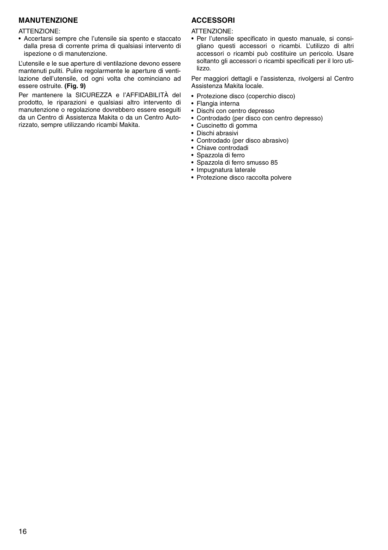## **MANUTENZIONE**

#### ATTENZIONE:

• Accertarsi sempre che l'utensile sia spento e staccato dalla presa di corrente prima di qualsiasi intervento di ispezione o di manutenzione.

L'utensile e le sue aperture di ventilazione devono essere mantenuti puliti. Pulire regolarmente le aperture di ventilazione dell'utensile, od ogni volta che cominciano ad essere ostruite. **(Fig. 9)**

Per mantenere la SICUREZZA e l'AFFIDABILITÀ del prodotto, le riparazioni e qualsiasi altro intervento di manutenzione o regolazione dovrebbero essere eseguiti da un Centro di Assistenza Makita o da un Centro Autorizzato, sempre utilizzando ricambi Makita.

## **ACCESSORI**

ATTENZIONE:

• Per l'utensile specificato in questo manuale, si consigliano questi accessori o ricambi. L'utilizzo di altri accessori o ricambi può costituire un pericolo. Usare soltanto gli accessori o ricambi specificati per il loro utilizzo.

Per maggiori dettagli e l'assistenza, rivolgersi al Centro Assistenza Makita locale.

- Protezione disco (coperchio disco)
- Flangia interna
- Dischi con centro depresso
- Controdado (per disco con centro depresso)
- Cuscinetto di gomma
- Dischi abrasivi
- Controdado (per disco abrasivo)
- Chiave controdadi
- Spazzola di ferro
- Spazzola di ferro smusso 85
- Impugnatura laterale
- Protezione disco raccolta polvere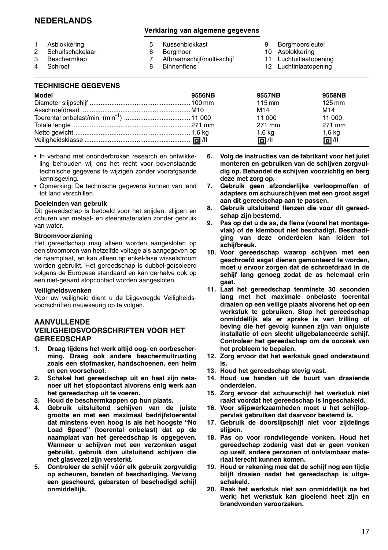## **NEDERLANDS**

### **Verklaring van algemene gegevens**

|              | Asblokkering     | 5 Kussenblokkast           | Borgmoersleutel       |
|--------------|------------------|----------------------------|-----------------------|
| $\mathbf{2}$ | Schuifschakelaar | Boramoer                   | 10 Asblokkering       |
| 3            | Beschermkap      | Afbraamschijf/multi-schijf | 11 Luchtuitlaatopenir |
|              | 4 Schroef        | <b>Binnenflens</b>         | 12 Luchtinlaatonenin  |

ucntuitlaatopening 12 Luchtinlaatopening

## **TECHNISCHE GEGEVENS**

| 9556NB | 9557NB           | 9558NB              |
|--------|------------------|---------------------|
|        | $115 \text{ mm}$ | $125 \,\mathrm{mm}$ |
|        | M14              | M <sub>14</sub>     |
|        | 11 000           | 11 000              |
|        | 271 mm           | 271 mm              |
|        | $1,6$ kg         | $1,6$ kg            |
|        | 同 /11            | 回 / 11              |
|        |                  |                     |

- In verband met ononderbroken research en ontwikkeling behouden wij ons het recht voor bovenstaande technische gegevens te wijzigen zonder voorafgaande kennisgeving.
- Opmerking: De technische gegevens kunnen van land tot land verschillen.

### **Doeleinden van gebruik**

Dit gereedschap is bedoeld voor het snijden, slijpen en schuren van metaal- en steenmaterialen zonder gebruik van water.

#### **Stroomvoorziening**

Het gereedschap mag alleen worden aangesloten op een stroombron van hetzelfde voltage als aangegeven op de naamplaat, en kan alleen op enkel-fase wisselstroom worden gebruikt. Het gereedschap is dubbel-geïsoleerd volgens de Europese standaard en kan derhalve ook op een niet-geaard stopcontact worden aangesloten.

#### **Veiligheidswenken**

Voor uw veiligheid dient u de bijgevoegde Veiligheidsvoorschriften nauwkeurig op te volgen.

### **AANVULLENDE VEILIGHEIDSVOORSCHRIFTEN VOOR HET GEREEDSCHAP**

- **1. Draag tijdens het werk altijd oog- en oorbescherming. Draag ook andere beschermuitrusting zoals een stofmasker, handschoenen, een helm en een voorschoot.**
- **2. Schakel het gereedschap uit en haal zijn netsnoer uit het stopcontact alvorens enig werk aan het gereedschap uit te voeren.**
- **3. Houd de beschermkappen op hun plaats.**
- **4. Gebruik uitsluitend schijven van de juiste grootte en met een maximaal bedrijfstoerental dat minstens even hoog is als het hoogste "No Load Speed" (toerental onbelast) dat op de naamplaat van het gereedschap is opgegeven. Wanneer u schijven met een verzonken asgat gebruikt, gebruik dan uitsluitend schijven die met glasvezel zijn versterkt.**
- **5. Controleer de schijf vóór elk gebruik zorgvuldig op scheuren, barsten of beschadiging. Vervang een gescheurd, gebarsten of beschadigd schijf onmiddellijk.**
- **6. Volg de instructies van de fabrikant voor het juist monteren en gebruiken van de schijven zorgvuldig op. Behandel de schijven voorzichtig en berg deze met zorg op.**
- **7. Gebruik geen afzonderlijke verloopmoffen of adapters om schuurschijven met een groot asgat aan dit gereedschap aan te passen.**
- **8. Gebruik uitsluitend flenzen die voor dit gereedschap zijn bestemd.**
- **9. Pas op dat u de as, de flens (vooral het montagevlak) of de klembout niet beschadigt. Beschadiging van deze onderdelen kan leiden tot schijfbreuk.**
- **10. Voor gereedschap waarop schijven met een geschroefd asgat dienen gemonteerd te worden, moet u ervoor zorgen dat de schroefdraad in de schijf lang genoeg zodat de as helemaal erin gaat.**
- **11. Laat het gereedschap tenminste 30 seconden lang met het maximale onbelaste toerental draaien op een veilige plaats alvorens het op een werkstuk te gebruiken. Stop het gereedschap onmiddellijk als er sprake is van trilling of beving die het gevolg kunnen zijn van onjuiste installatie of een slecht uitgebalanceerde schijf. Controleer het gereedschap om de oorzaak van het probleem te bepalen.**
- **12. Zorg ervoor dat het werkstuk goed ondersteund is.**
- **13. Houd het gereedschap stevig vast.**
- **14. Houd uw handen uit de buurt van draaiende onderdelen.**
- **15. Zorg ervoor dat schuurschijf het werkstuk niet raakt voordat het gereedschap is ingeschakeld.**
- **16. Voor slijpwerkzaamheden moet u het schijfoppervlak gebruiken dat daarvoor bestemd is.**
- **17. Gebruik de doorslijpschijf niet voor zijdelings slijpen.**
- **18. Pas op voor rondvliegende vonken. Houd het gereedschap zodanig vast dat er geen vonken op uzelf, andere personen of ontvlambaar materiaal terecht kunnen komen.**
- **19. Houd er rekening mee dat de schijf nog een tijdje blijft draaien nadat het gereedschap is uitgeschakeld.**
- **20. Raak het werkstuk niet aan onmiddellijk na het werk; het werkstuk kan gloeiend heet zijn en brandwonden veroorzaken.**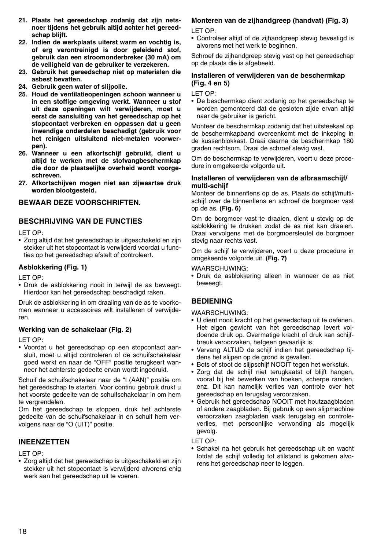- **21. Plaats het gereedschap zodanig dat zijn netsnoer tijdens het gebruik altijd achter het gereedschap blijft.**
- **22. Indien de werkplaats uiterst warm en vochtig is, of erg verontreinigd is door geleidend stof, gebruik dan een stroomonderbreker (30 mA) om de veiligheid van de gebruiker te verzekeren.**
- **23. Gebruik het gereedschap niet op materialen die asbest bevatten.**
- **24. Gebruik geen water of slijpolie.**
- **25. Houd de ventilatieopeningen schoon wanneer u in een stoffige omgeving werkt. Wanneer u stof uit deze openingen wilt verwijderen, moet u eerst de aansluiting van het gereedschap op het stopcontact verbreken en oppassen dat u geen inwendige onderdelen beschadigt (gebruik voor het reinigen uitsluitend niet-metalen voorwerpen).**
- **26. Wanneer u een afkortschijf gebruikt, dient u altijd te werken met de stofvangbeschermkap die door de plaatselijke overheid wordt voorgeschreven.**
- **27. Afkortschijven mogen niet aan zijwaartse druk worden blootgesteld.**

## **BEWAAR DEZE VOORSCHRIFTEN.**

## **BESCHRIJVING VAN DE FUNCTIES**

LET OP:

• Zorg altijd dat het gereedschap is uitgeschakeld en zijn stekker uit het stopcontact is verwijderd voordat u functies op het gereedschap afstelt of controleert.

### **Asblokkering (Fig. 1)**

LET OP:

• Druk de asblokkering nooit in terwijl de as beweegt. Hierdoor kan het gereedschap beschadigd raken.

Druk de asblokkering in om draaiing van de as te voorkomen wanneer u accessoires wilt installeren of verwijderen.

## **Werking van de schakelaar (Fig. 2)**

LET OP:

• Voordat u het gereedschap op een stopcontact aansluit, moet u altijd controleren of de schuifschakelaar goed werkt en naar de "OFF" positie terugkeert wanneer het achterste gedeelte ervan wordt ingedrukt.

Schuif de schuifschakelaar naar de "I (AAN)" positie om het gereedschap te starten. Voor continu gebruik drukt u het voorste gedeelte van de schuifschakelaar in om hem te vergrendelen.

Om het gereedschap te stoppen, druk het achterste gedeelte van de schuifschakelaar in en schuif hem vervolgens naar de "O (UIT)" positie.

## **INEENZETTEN**

LET OP:

• Zorg altijd dat het gereedschap is uitgeschakeld en zijn stekker uit het stopcontact is verwijderd alvorens enig werk aan het gereedschap uit te voeren.

## **Monteren van de zijhandgreep (handvat) (Fig. 3)**

LET OP:

• Controleer altiid of de zijhandgreep stevig bevestigd is alvorens met het werk te beginnen.

Schroef de zijhandgreep stevig vast op het gereedschap op de plaats die is afgebeeld.

## **Installeren of verwijderen van de beschermkap (Fig. 4 en 5)**

LET OP:

• De beschermkap dient zodanig op het gereedschap te worden gemonteerd dat de gesloten zijde ervan altijd naar de gebruiker is gericht.

Monteer de beschermkap zodanig dat het uitsteeksel op de beschermkapband overeenkomt met de inkeping in de kussenblokkast. Draai daarna de beschermkap 180 graden rechtsom. Draai de schroef stevig vast.

Om de beschermkap te verwijderen, voert u deze procedure in omgekeerde volgorde uit.

#### **Installeren of verwijderen van de afbraamschijf/ multi-schijf**

Monteer de binnenflens op de as. Plaats de schijf/multischijf over de binnenflens en schroef de borgmoer vast op de as. **(Fig. 6)**

Om de borgmoer vast te draaien, dient u stevig op de asblokkering te drukken zodat de as niet kan draaien. Draai vervolgens met de borgmoersleutel de borgmoer stevig naar rechts vast.

Om de schijf te verwijderen, voert u deze procedure in omgekeerde volgorde uit. **(Fig. 7)**

#### WAARSCHUWING:

• Druk de asblokkering alleen in wanneer de as niet beweegt.

## **BEDIENING**

WAARSCHUWING:

- U dient nooit kracht op het gereedschap uit te oefenen. Het eigen gewicht van het gereedschap levert voldoende druk op. Overmatige kracht of druk kan schijfbreuk veroorzaken, hetgeen gevaarlijk is.
- Vervang ALTIJD de schijf indien het gereedschap tijdens het slijpen op de grond is gevallen.
- Bots of stoot de slijpschijf NOOIT tegen het werkstuk.
- Zorg dat de schijf niet terugkaatst of blijft hangen, vooral bij het bewerken van hoeken, scherpe randen, enz. Dit kan namelijk verlies van controle over het gereedschap en terugslag veroorzaken.
- Gebruik het gereedschap NOOIT met houtzaagbladen of andere zaagbladen. Bij gebruik op een slijpmachine veroorzaken zaagbladen vaak terugslag en controleverlies, met persoonlijke verwonding als mogelijk gevolg.

LET OP:

• Schakel na het gebruik het gereedschap uit en wacht totdat de schijf volledig tot stilstand is gekomen alvorens het gereedschap neer te leggen.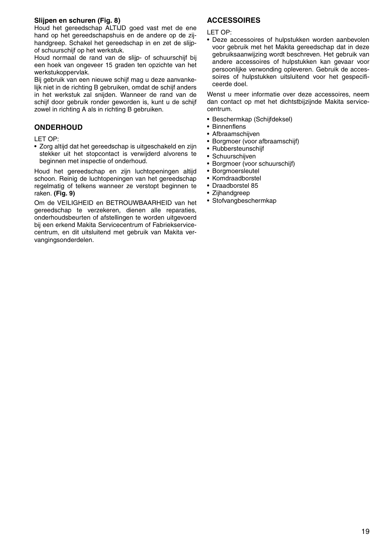## **Slijpen en schuren (Fig. 8)**

Houd het gereedschap ALTIJD goed vast met de ene hand op het gereedschapshuis en de andere op de zijhandgreep. Schakel het gereedschap in en zet de slijpof schuurschijf op het werkstuk.

Houd normaal de rand van de slijp- of schuurschijf bij een hoek van ongeveer 15 graden ten opzichte van het werkstukoppervlak.

Bij gebruik van een nieuwe schijf mag u deze aanvankelijk niet in de richting B gebruiken, omdat de schijf anders in het werkstuk zal snijden. Wanneer de rand van de schijf door gebruik ronder geworden is, kunt u de schijf zowel in richting A als in richting B gebruiken.

## **ONDERHOUD**

LET OP:

• Zorg altijd dat het gereedschap is uitgeschakeld en zijn stekker uit het stopcontact is verwijderd alvorens te beginnen met inspectie of onderhoud.

Houd het gereedschap en zijn luchtopeningen altijd schoon. Reinig de luchtopeningen van het gereedschap regelmatig of telkens wanneer ze verstopt beginnen te raken. **(Fig. 9)**

Om de VEILIGHEID en BETROUWBAARHEID van het gereedschap te verzekeren, dienen alle reparaties, onderhoudsbeurten of afstellingen te worden uitgevoerd bij een erkend Makita Servicecentrum of Fabriekservicecentrum, en dit uitsluitend met gebruik van Makita vervangingsonderdelen.

## **ACCESSOIRES**

LET OP:

• Deze accessoires of hulpstukken worden aanbevolen voor gebruik met het Makita gereedschap dat in deze gebruiksaanwijzing wordt beschreven. Het gebruik van andere accessoires of hulpstukken kan gevaar voor persoonlijke verwonding opleveren. Gebruik de accessoires of hulpstukken uitsluitend voor het gespecificeerde doel.

Wenst u meer informatie over deze accessoires, neem dan contact op met het dichtstbijzijnde Makita servicecentrum.

- Beschermkap (Schijfdeksel)
- Binnenflens
- Afbraamschijven
- Borgmoer (voor afbraamschijf)
- Rubbersteunschijf
- Schuurschijven
- Borgmoer (voor schuurschijf)
- Borgmoersleutel
- Komdraadborstel
- Draadborstel 85
- Zijhandgreep
- Stofvangbeschermkap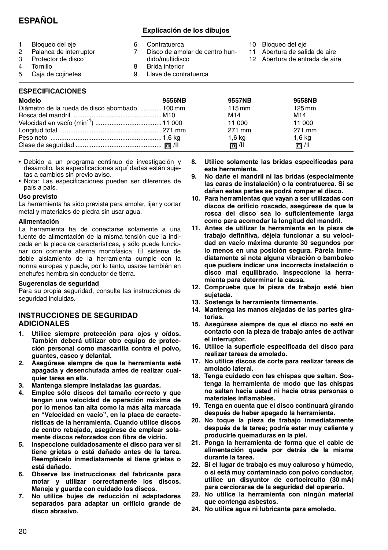## **ESPAÑOL**

## **Explicación de los dibujos**

1 Bloqueo del eje<br>2 Palanca de inter 2 Palanca de interruptor<br>3 Protector de disco 3 Protector de disco 4 Tornillo<br>5 Caia de 5 Caja de cojinetes 6 Contratuerca Disco de amolar de centro hundido/multidisco 8 Brida interior 9 Llave de contratuerca 10 Bloqueo del eje 11 Abertura de salida de aire 12 Abertura de entrada de aire

## **ESPECIFICACIONES**

| Modelo                                         | 9556NB | 9557NB           | 9558NB              |
|------------------------------------------------|--------|------------------|---------------------|
| Diámetro de la rueda de disco abombado  100 mm |        | $115 \text{ mm}$ | $125 \,\mathrm{mm}$ |
|                                                |        | M14              | M <sub>14</sub>     |
|                                                |        | 11 000           | 11 000              |
|                                                |        | 271 mm           | 271 mm              |
|                                                |        | 1,6 kg           | $1,6$ kg            |
|                                                |        | 同 /ll            | 同 /ll               |

- Debido a un programa continuo de investigación y desarrollo, las especificaciones aquí dadas están sujetas a cambios sin previo aviso.
- Nota: Las especificaciones pueden ser diferentes de país a país.

#### **Uso previsto**

La herramienta ha sido prevista para amolar, lijar y cortar metal y materiales de piedra sin usar agua.

#### **Alimentación**

La herramienta ha de conectarse solamente a una fuente de alimentación de la misma tensión que la indicada en la placa de características, y sólo puede funcionar con corriente alterna monofásica. El sistema de doble aislamiento de la herramienta cumple con la norma europea y puede, por lo tanto, usarse también en enchufes hembra sin conductor de tierra.

#### **Sugerencias de seguridad**

Para su propia seguridad, consulte las instrucciones de seguridad incluidas.

## **INSTRUCCIONES DE SEGURIDAD ADICIONALES**

- **1. Utilice siempre protección para ojos y oídos. También deberá utilizar otro equipo de protección personal como mascarilla contra el polvo, guantes, casco y delantal.**
- **2. Asegúrese siempre de que la herramienta esté apagada y desenchufada antes de realizar cualquier tarea en ella.**
- **3. Mantenga siempre instaladas las guardas.**
- **4. Emplee sólo discos del tamaño correcto y que tengan una velocidad de operación máxima de por lo menos tan alta como la más alta marcada en "Velocidad en vacío", en la placa de características de la herramienta. Cuando utilice discos de centro rebajado, asegúrese de emplear solamente discos reforzados con fibra de vidrio.**
- **5. Inspeccione cuidadosamente el disco para ver si tiene grietas o está dañado antes de la tarea. Reemplácelo inmediatamente si tiene grietas o está dañado.**
- **6. Observe las instrucciones del fabricante para motar y utilizar correctamente los discos. Maneje y guarde con cuidado los discos.**
- **7. No utilice bujes de reducción ni adaptadores separados para adaptar un orificio grande de disco abrasivo.**
- **8. Utilice solamente las bridas especificadas para esta herramienta.**
- **9. No dañe el mandril ni las bridas (especialmente las caras de instalación) o la contratuerca. Si se dañan estas partes se podrá romper el disco.**
- **10. Para herramientas que vayan a ser utilizadas con discos de orificio roscado, asegúrese de que la rosca del disco sea lo suficientemente larga como para acomodar la longitud del mandril.**
- **11. Antes de utilizar la herramienta en la pieza de trabajo definitiva, déjela funcionar a su velocidad en vacío máxima durante 30 segundos por lo menos en una posición segura. Párela inmediatamente si nota alguna vibración o bamboleo que pudiera indicar una incorrecta instalación o disco mal equilibrado. Inspeccione la herramienta para determinar la causa.**
- **12. Compruebe que la pieza de trabajo esté bien sujetada.**
- **13. Sostenga la herramienta firmemente.**
- **14. Mantenga las manos alejadas de las partes giratorias.**
- **15. Asegúrese siempre de que el disco no esté en contacto con la pieza de trabajo antes de activar el interruptor.**
- **16. Utilice la superficie especificada del disco para realizar tareas de amolado.**
- **17. No utilice discos de corte para realizar tareas de amolado lateral.**
- **18. Tenga cuidado con las chispas que saltan. Sostenga la herramienta de modo que las chispas no salten hacia usted ni hacia otras personas o materiales inflamables.**
- **19. Tenga en cuenta que el disco continuará girando después de haber apagado la herramienta.**
- **20. No toque la pieza de trabajo inmediatamente después de la tarea; podría estar muy caliente y producirle quemaduras en la piel.**
- **21. Ponga la herramienta de forma que el cable de alimentación quede por detrás de la misma durante la tarea.**
- **22. Si el lugar de trabajo es muy caluroso y húmedo, o si está muy contaminado con polvo conductor, utilice un disyuntor de cortocircuito (30 mA) para cerciorarse de la seguridad del operario.**
- **23. No utilice la herramienta con ningún material que contenga asbestos.**
- **24. No utilice agua ni lubricante para amolado.**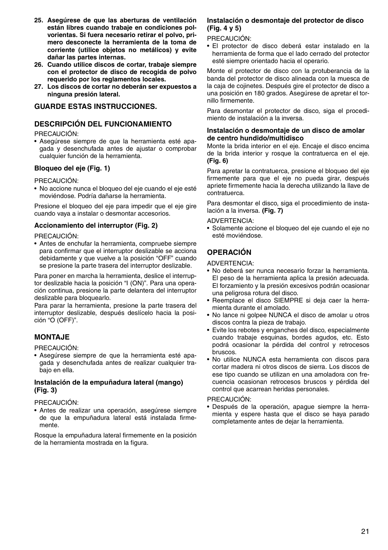- **25. Asegúrese de que las aberturas de ventilación están libres cuando trabaje en condiciones polvorientas. Si fuera necesario retirar el polvo, primero desconecte la herramienta de la toma de corriente (utilice objetos no metálicos) y evite dañar las partes internas.**
- **26. Cuando utilice discos de cortar, trabaje siempre con el protector de disco de recogida de polvo requerido por los reglamentos locales.**
- **27. Los discos de cortar no deberán ser expuestos a ninguna presión lateral.**

## **GUARDE ESTAS INSTRUCCIONES.**

## **DESCRIPCIÓN DEL FUNCIONAMIENTO**

PRECAUCIÓN:

• Asegúrese siempre de que la herramienta esté apagada y desenchufada antes de ajustar o comprobar cualquier función de la herramienta.

### **Bloqueo del eje (Fig. 1)**

PRECAUCIÓN:

• No accione nunca el bloqueo del eje cuando el eje esté moviéndose. Podría dañarse la herramienta.

Presione el bloqueo del eje para impedir que el eje gire cuando vaya a instalar o desmontar accesorios.

### **Accionamiento del interruptor (Fig. 2)**

PRECAUCIÓN:

• Antes de enchufar la herramienta, compruebe siempre para confirmar que el interruptor deslizable se acciona debidamente y que vuelve a la posición "OFF" cuando se presione la parte trasera del interruptor deslizable.

Para poner en marcha la herramienta, deslice el interruptor deslizable hacia la posición "I (ON)". Para una operación continua, presione la parte delantera del interruptor deslizable para bloquearlo.

Para parar la herramienta, presione la parte trasera del interruptor deslizable, después deslícelo hacia la posición "O (OFF)".

## **MONTAJE**

PRECAUCIÓN:

• Asegúrese siempre de que la herramienta esté apagada y desenchufada antes de realizar cualquier trabajo en ella.

## **Instalación de la empuñadura lateral (mango) (Fig. 3)**

## PRECAUCIÓN:

• Antes de realizar una operación, asegúrese siempre de que la empuñadura lateral está instalada firmemente.

Rosque la empuñadura lateral firmemente en la posición de la herramienta mostrada en la figura.

#### **Instalación o desmontaje del protector de disco (Fig. 4 y 5)**

PRECAUCIÓN:

• El protector de disco deberá estar instalado en la herramienta de forma que el lado cerrado del protector esté siempre orientado hacia el operario.

Monte el protector de disco con la protuberancia de la banda del protector de disco alineada con la muesca de la caja de cojinetes. Después gire el protector de disco a una posición en 180 grados. Asegúrese de apretar el tornillo firmemente.

Para desmontar el protector de disco, siga el procedimiento de instalación a la inversa.

#### **Instalación o desmontaje de un disco de amolar de centro hundido/multidisco**

Monte la brida interior en el eje. Encaje el disco encima de la brida interior y rosque la contratuerca en el eje. **(Fig. 6)**

Para apretar la contratuerca, presione el bloqueo del eje firmemente para que el eje no pueda girar, después apriete firmemente hacia la derecha utilizando la llave de contratuerca.

Para desmontar el disco, siga el procedimiento de instalación a la inversa. **(Fig. 7)**

#### ADVERTENCIA:

• Solamente accione el bloqueo del eje cuando el eje no esté moviéndose.

## **OPERACIÓN**

ADVERTENCIA:

- No deberá ser nunca necesario forzar la herramienta. El peso de la herramienta aplica la presión adecuada. El forzamiento y la presión excesivos podrán ocasionar una peligrosa rotura del disco.
- Reemplace el disco SIEMPRE si deja caer la herramienta durante el amolado.
- No lance ni golpee NUNCA el disco de amolar u otros discos contra la pieza de trabajo.
- Evite los rebotes y enganches del disco, especialmente cuando trabaje esquinas, bordes agudos, etc. Esto podrá ocasionar la pérdida del control y retrocesos bruscos.
- No utilice NUNCA esta herramienta con discos para cortar madera ni otros discos de sierra. Los discos de ese tipo cuando se utilizan en una amoladora con frecuencia ocasionan retrocesos bruscos y pérdida del control que acarrean heridas personales.

### PRECAUCIÓN:

• Después de la operación, apague siempre la herramienta y espere hasta que el disco se haya parado completamente antes de dejar la herramienta.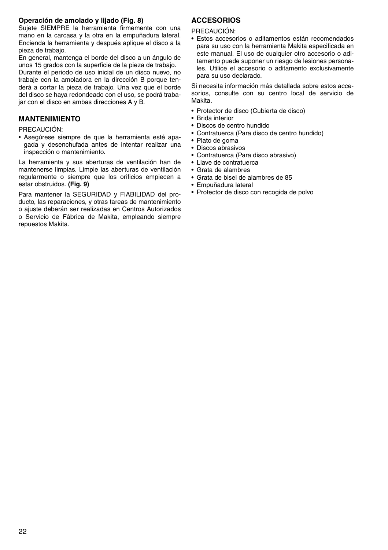### **Operación de amolado y lijado (Fig. 8)**

Sujete SIEMPRE la herramienta firmemente con una mano en la carcasa y la otra en la empuñadura lateral. Encienda la herramienta y después aplique el disco a la pieza de trabajo.

En general, mantenga el borde del disco a un ángulo de unos 15 grados con la superficie de la pieza de trabajo.

Durante el periodo de uso inicial de un disco nuevo, no trabaje con la amoladora en la dirección B porque tenderá a cortar la pieza de trabajo. Una vez que el borde del disco se haya redondeado con el uso, se podrá trabajar con el disco en ambas direcciones A y B.

## **MANTENIMIENTO**

#### PRECAUCIÓN:

• Asegúrese siempre de que la herramienta esté apagada y desenchufada antes de intentar realizar una inspección o mantenimiento.

La herramienta y sus aberturas de ventilación han de mantenerse limpias. Limpie las aberturas de ventilación regularmente o siempre que los orificios empiecen a estar obstruidos. **(Fig. 9)**

Para mantener la SEGURIDAD y FIABILIDAD del producto, las reparaciones, y otras tareas de mantenimiento o ajuste deberán ser realizadas en Centros Autorizados o Servicio de Fábrica de Makita, empleando siempre repuestos Makita.

## **ACCESORIOS**

PRECAUCIÓN:

• Estos accesorios o aditamentos están recomendados para su uso con la herramienta Makita especificada en este manual. El uso de cualquier otro accesorio o aditamento puede suponer un riesgo de lesiones personales. Utilice el accesorio o aditamento exclusivamente para su uso declarado.

Si necesita información más detallada sobre estos accesorios, consulte con su centro local de servicio de Makita.

- Protector de disco (Cubierta de disco)
- Brida interior
- Discos de centro hundido
- Contratuerca (Para disco de centro hundido)
- Plato de goma
- Discos abrasivos
- Contratuerca (Para disco abrasivo)
- Llave de contratuerca
- Grata de alambres
- Grata de bisel de alambres de 85
- Empuñadura lateral
- Protector de disco con recogida de polvo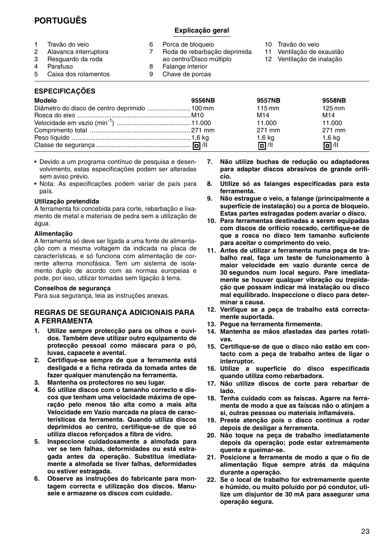## **PORTUGUÊS**

## **Explicação geral**

Chave de porcas

- 1 Travão do veio<br>2 Alavanca interr 2 Alavanca interruptora<br>3 Besquardo da roda 6 Porca de bloqueio<br>7 Boda de rebarbaci Roda de rebarbação deprimida
- 3 Resguardo da roda ao centro/Disco múltiplo 8 Falange interior<br>9 Chave de porca
- 4 Parafuso<br>5 Caixa do: 5 Caixa dos rolamentos
- 10 Travão do veio
- 11 Ventilação de exaustão
- 12 Ventilação de inalação

## **ESPECIFICAÇÕES**

| Modelo                                        | 9556NB | 9557NB           | 9558NB              |
|-----------------------------------------------|--------|------------------|---------------------|
| Diâmetro do disco de centro deprimido  100 mm |        | $115 \text{ mm}$ | $125 \,\mathrm{mm}$ |
|                                               |        | M <sub>14</sub>  | M14                 |
|                                               |        | 11.000           | 11.000              |
|                                               |        | 271 mm           | 271 mm              |
|                                               |        | 1,6 kg           | $1,6$ kg            |
|                                               |        | 回 / 11           | 回 /                 |

- Devido a um programa contínuo de pesquisa e desenvolvimento, estas especificações podem ser alteradas sem aviso prévio.
- Nota: As especificações podem variar de país para país.

#### **Utilização pretendida**

A ferramenta foi concebida para corte, rebarbação e lixamento de metal e materiais de pedra sem a utilização de água.

#### **Alimentação**

A ferramenta só deve ser ligada a uma fonte de alimentação com a mesma voltagem da indicada na placa de características, e só funciona com alimentação de corrente alterna monofásica. Tem um sistema de isolamento duplo de acordo com as normas europeias e pode, por isso, utilizar tomadas sem ligação à terra.

#### **Conselhos de segurança**

Para sua segurança, leia as instruções anexas.

## **REGRAS DE SEGURANÇA ADICIONAIS PARA A FERRAMENTA**

- **1. Utilize sempre protecção para os olhos e ouvidos. Também deve utilizar outro equipamento de protecção pessoal como máscara para o pó, luvas, capacete e avental.**
- **2. Certifique-se sempre de que a ferramenta está desligada e a ficha retirada da tomada antes de fazer qualquer manutenção na ferramenta.**
- **3. Mantenha os protectores no seu lugar.**
- **4. Só utilize discos com o tamanho correcto e discos que tenham uma velocidade máxima de operação pelo menos tão alta como a mais alta Velocidade em Vazio marcada na placa de características da ferramenta. Quando utiliza discos deprimidos ao centro, certifique-se de que só utiliza discos reforçados a fibra de vidro.**
- **5. Inspeccione cuidadosamente a almofada para ver se tem falhas, deformidades ou está estragada antes da operação. Substitua imediatamente a almofada se tiver falhas, deformidades ou estiver estragada.**
- **6. Observe as instruções do fabricante para montagem correcta e utilização dos discos. Manuseie e armazene os discos com cuidado.**
- **7. Não utilize buchas de redução ou adaptadores para adaptar discos abrasivos de grande orifício.**
- **8. Utilize só as falanges especificadas para esta ferramenta.**
- **9. Não estrague o veio, a falange (principalmente a superfície de instalação) ou a porca de bloqueio. Estas partes estragadas podem avariar o disco.**
- **10. Para ferramentas destinadas a serem equipadas com discos de orifício roscado, certifique-se de que a rosca no disco tem tamanho suficiente para aceitar o comprimento do veio.**
- **11. Antes de utilizar a ferramenta numa peça de trabalho real, faça um teste de funcionamento à maior velocidade em vazio durante cerca de 30 segundos num local seguro. Pare imediatamente se houver qualquer vibração ou trepidação que possam indicar má instalação ou disco mal equilibrado. Inspeccione o disco para determinar a causa.**
- **12. Verifique se a peça de trabalho está correctamente suportada.**
- **13. Pegue na ferramenta firmemente.**
- **14. Mantenha as mãos afastadas das partes rotativas.**
- **15. Certifique-se de que o disco não estão em contacto com a peça de trabalho antes de ligar o interruptor.**
- **16. Utilize a superfície do disco especificada quando utiliza como rebarbadora.**
- **17. Não utilize discos de corte para rebarbar de lado.**
- **18. Tenha cuidado com as faíscas. Agarre na ferramenta de modo a que as faíscas não o atinjam a si, outras pessoas ou materiais inflamáveis.**
- **19. Preste atenção pois o disco continua a rodar depois de desligar a ferramenta.**
- **20. Não toque na peça de trabalho imediatamente depois da operação; pode estar extremamente quente e queimar-se.**
- **21. Posicione a ferramenta de modo a que o fio de alimentação fique sempre atrás da máquina durante a operação.**
- **22. Se o local de trabalho for extremamente quente e húmido, ou muito poluído por pó condutor, utilize um disjuntor de 30 mA para assegurar uma operação segura.**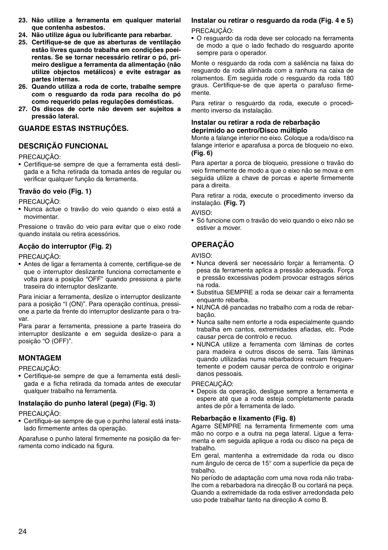- **23. Não utilize a ferramenta em qualquer material que contenha asbestos.**
- **24. Não utilize água ou lubrificante para rebarbar.**
- **25. Certifique-se de que as aberturas de ventilação estão livres quando trabalha em condições poeirentas. Se se tornar necessário retirar o pó, primeiro desligue a ferramenta da alimentação (não utilize objectos metálicos) e evite estragar as partes internas.**
- **26. Quando utiliza a roda de corte, trabalhe sempre com o resguardo da roda para recolha do pó como requerido pelas regulações domésticas.**
- **27. Os discos de corte não devem ser sujeitos a pressão lateral.**

### **GUARDE ESTAS INSTRUÇÕES.**

## **DESCRIÇÃO FUNCIONAL**

PRECAUÇÃO:

• Certifique-se sempre de que a ferramenta está desligada e a ficha retirada da tomada antes de regular ou verificar qualquer função da ferramenta.

#### **Travão do veio (Fig. 1)**

PRECAUÇÃO:

• Nunca actue o travão do veio quando o eixo está a movimentar.

Pressione o travão do veio para evitar que o eixo rode quando instala ou retira acessórios.

### **Acção do interruptor (Fig. 2)**

#### PRECAUÇÃO:

• Antes de ligar a ferramenta à corrente, certifique-se de que o interruptor deslizante funciona correctamente e volta para a posição "OFF" quando pressiona a parte traseira do interruptor deslizante.

Para iniciar a ferramenta, deslize o interruptor deslizante para a posição "I (ON)". Para operação contínua, pressione a parte da frente do interruptor deslizante para o travar.

Para parar a ferramenta, pressione a parte traseira do interruptor deslizante e em seguida deslize-o para a posição "O (OFF)".

## **MONTAGEM**

PRECAUCÃO<sup>.</sup>

• Certifique-se sempre de que a ferramenta está desligada e a ficha retirada da tomada antes de executar qualquer trabalho na ferramenta.

### **Instalação do punho lateral (pega) (Fig. 3)**

PRECAUÇÃO:

• Certifique-se sempre de que o punho lateral está instalado firmemente antes da operação.

Aparafuse o punho lateral firmemente na posição da ferramenta como indicado na figura.

## **Instalar ou retirar o resguardo da roda (Fig. 4 e 5)**

PRECAUCÃO:

• O resguardo da roda deve ser colocado na ferramenta de modo a que o lado fechado do resguardo aponte sempre para o operador.

Monte o resguardo da roda com a saliência na faixa do resguardo da roda alinhada com a ranhura na caixa de rolamentos. Em seguida rode o resguardo da roda 180 graus. Certifique-se de que aperta o parafuso firmemente.

Para retirar o resguardo da roda, execute o procedimento inverso da instalação.

#### **Instalar ou retirar a roda de rebarbação deprimido ao centro/Disco múltiplo**

Monte a falange interior no eixo. Coloque a roda/disco na falange interior e aparafusa a porca de bloqueio no eixo. **(Fig. 6)**

Para apertar a porca de bloqueio, pressione o travão do veio firmemente de modo a que o eixo não se mova e em seguida utilize a chave de porcas e aperte firmemente para a direita.

Para retirar a roda, execute o procedimento inverso da instalação. **(Fig. 7)**

AVISO:

• Só funcione com o travão do veio quando o eixo não se estiver a mover.

## **OPERAÇÃO**

AVISO:

- Nunca deverá ser necessário forçar a ferramenta. O pesa da ferramenta aplica a pressão adequada. Força e pressão excessivas podem provocar estragos sérios na roda.
- Substitua SEMPRE a roda se deixar cair a ferramenta enquanto rebarba.
- NUNCA dê pancadas no trabalho com a roda de rebarbação.
- Nunca salte nem entorte a roda especialmente quando trabalha em cantos, extremidades afiadas, etc. Pode causar perca de controlo e recuo.
- NUNCA utilize a ferramenta com lâminas de cortes para madeira e outros discos de serra. Tais lâminas quando utilizadas numa rebarbadora recuam frequentemente e podem causar perca de controlo e originar danos pessoais.

#### PRECAUÇÃO:

• Depois da operação, desligue sempre a ferramenta e espere até que a roda esteja completamente parada antes de pôr a ferramenta de lado.

### **Rebarbação e lixamento (Fig. 8)**

Agarre SEMPRE na ferramenta firmemente com uma mão no corpo e a outra na pega lateral. Ligue a ferramenta e em seguida aplique a roda ou disco na peça de trabalho.

Em geral, mantenha a extremidade da roda ou disco num ângulo de cerca de 15° com a superfície da peça de trabalho.

No período de adaptação com uma nova roda não trabalhe com a rebarbadora na direcção B ou cortará na peça. Quando a extremidade da roda estiver arredondada pelo uso pode trabalhar tanto na direcção A como B.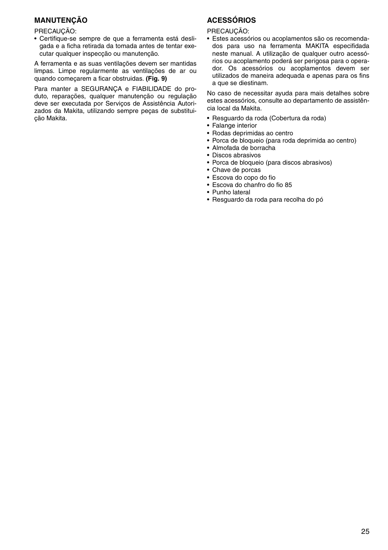## **MANUTENÇÃO**

PRECAUÇÃO:

• Certifique-se sempre de que a ferramenta está desligada e a ficha retirada da tomada antes de tentar executar qualquer inspecção ou manutenção.

A ferramenta e as suas ventilações devem ser mantidas limpas. Limpe regularmente as ventilações de ar ou quando começarem a ficar obstruidas. **(Fig. 9)**

Para manter a SEGURANÇA e FIABILIDADE do produto, reparações, qualquer manutenção ou regulação deve ser executada por Serviços de Assistência Autorizados da Makita, utilizando sempre peças de substituição Makita.

## **ACESSÓRIOS**

PRECAUCÃO:

• Estes acessórios ou acoplamentos são os recomendados para uso na ferramenta MAKITA especifidada neste manual. A utilização de qualquer outro acessórios ou acoplamento poderá ser perigosa para o operador. Os acessórios ou acoplamentos devem ser utilizados de maneira adequada e apenas para os fins a que se diestinam.

No caso de necessitar ayuda para mais detalhes sobre estes acessórios, consulte ao departamento de assistência local da Makita.

- Resguardo da roda (Cobertura da roda)
- Falange interior
- Rodas deprimidas ao centro
- Porca de bloqueio (para roda deprimida ao centro)
- Almofada de borracha
- Discos abrasivos
- Porca de bloqueio (para discos abrasivos)
- Chave de porcas
- Escova do copo do fio
- Escova do chanfro do fio 85
- Punho lateral
- Resguardo da roda para recolha do pó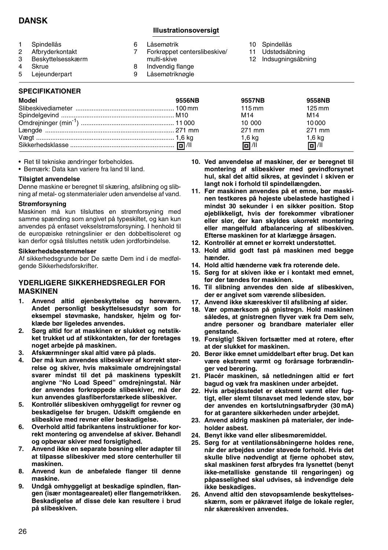## **DANSK**

## **Illustrationsoversigt**

| $^{2}$<br>3 | Spindellås<br>Afbryderkontakt<br>Beskyttelsesskærm | Låsemøtrik<br>Forkrøppet centerslibeskive/<br>multi-skive | 10 Spindellås<br>11 Udstødsåbning<br>12 Indsugningsåbning |
|-------------|----------------------------------------------------|-----------------------------------------------------------|-----------------------------------------------------------|
| 4           | Skrue                                              | Indvendig flange                                          |                                                           |
| 5           | Lejeunderpart                                      | Låsemøtriknøgle                                           |                                                           |
|             |                                                    |                                                           |                                                           |

## **SPECIFIKATIONER**

| Model | 9556NB | 9557NB           | 9558NB              |
|-------|--------|------------------|---------------------|
|       |        | $115 \text{ mm}$ | $125 \,\mathrm{mm}$ |
|       |        | M14              | M <sub>14</sub>     |
|       |        | 10 000           | 10000               |
|       |        | 271 mm           | 271 mm              |
|       |        | $1,6$ kg         | 1,6 kg              |
|       |        | 61/11            | 61/11               |

• Ret til tekniske ændringer forbeholdes.

• Bemærk: Data kan variere fra land til land.

#### **Tilsigtet anvendelse**

Denne maskine er beregnet til skæring, afslibning og slibning af metal- og stenmaterialer uden anvendelse af vand.

#### **Strømforsyning**

Maskinen må kun tilsluttes en strømforsyning med samme spænding som angivet på typeskiltet, og kan kun anvendes på enfaset vekselstrømsforsyning. I henhold til de europæiske retningslinier er den dobbeltisoleret og kan derfor også tilsluttes netstik uden jordforbindelse.

#### **Sikkerhedsbestemmelser**

Af sikkerhedsgrunde bør De sætte Dem ind i de medfølgende Sikkerhedsforskrifter.

### **YDERLIGERE SIKKERHEDSREGLER FOR MASKINEN**

- **1. Anvend altid øjenbeskyttelse og høreværn. Andet personligt beskyttelsesudstyr som for eksempel støvmaske, handsker, hjelm og forklæde bør ligeledes anvendes.**
- **2. Sørg altid for at maskinen er slukket og netstikket trukket ud af stikkontakten, før der foretages noget arbejde på maskinen.**
- **3. Afskærmninger skal altid være på plads.**
- **4. Der må kun anvendes slibeskiver af korrekt størrelse og skiver, hvis maksimale omdrejningstal svarer mindst til det på maskinens typeskilt angivne "No Load Speed" omdrejningstal. Når der anvendes forkrøppede slibeskiver, må der kun anvendes glasfiberforstærkede slibeskiver.**
- **5. Kontrollér slibeskiven omhyggeligt for revner og beskadigelse før brugen. Udskift omgående en slibeskive med revner eller beskadigelse.**
- **6. Overhold altid fabrikantens instruktioner for korrekt montering og anvendelse af skiver. Behandl og opbevar skiver med forsigtighed.**
- **7. Anvend ikke en separate bøsning eller adapter til at tilpasse slibeskiver med store centerhuller til maskinen.**
- **8. Anvend kun de anbefalede flanger til denne maskine.**
- **9. Undgå omhyggeligt at beskadige spindlen, flangen (især montagearealet) eller flangemøtrikken. Beskadigelse af disse dele kan resultere i brud på slibeskiven.**
- **10. Ved anvendelse af maskiner, der er beregnet til montering af slibeskiver med gevindforsynet hul, skal det altid sikres, at gevindet i skiven er langt nok i forhold til spindellængden.**
- **11. Før maskinen anvendes på et emne, bør maskinen testkøres på højeste ubelastede hastighed i mindst 30 sekunder i en sikker position. Stop øjeblikkeligt, hvis der forekommer vibrationer eller slør, der kan skyldes ukorrekt montering eller mangelfuld afbalancering af slibeskiven. Efterse maskinen for at klarlægge årsagen.**
- **12. Kontrollér at emnet er korrekt understøttet.**
- **13. Hold altid godt fast på maskinen med begge hænder.**
- **14. Hold altid hænderne væk fra roterende dele.**
- **15. Sørg for at skiven ikke er i kontakt med emnet, før der tændes for maskinen.**
- **16. Til slibning anvendes den side af slibeskiven, der er angivet som værende slibesiden.**
- **17. Anvend ikke skæreskiver til afslibning af sider.**
- **18. Vær opmærksom på gnistregn. Hold maskinen således, at gnistregnen flyver væk fra Dem selv, andre personer og brandbare materialer eller genstande.**
- **19. Forsigtig! Skiven fortsætter med at rotere, efter at der slukket for maskinen.**
- **20. Berør ikke emnet umiddelbart efter brug. Det kan være ekstremt varmt og forårsage forbrændinger ved berøring.**
- **21. Placér maskinen, så netledningen altid er ført bagud og væk fra maskinen under arbejdet.**
- **22. Hvis arbejdsstedet er ekstremt varmt eller fugtigt, eller slemt tilsnavset med ledende støv, bør der anvendes en kortslutningsafbryder (30 mA) for at garantere sikkerheden under arbejdet.**
- **23. Anvend aldrig maskinen på materialer, der indeholder asbest.**
- **24. Benyt ikke vand eller slibesmøremiddel.**
- **25. Sørg for at ventilationsåbningerne holdes rene, når der arbejdes under støvede forhold. Hvis det skulle blive nødvendigt at fjerne ophobet støv, skal maskinen først afbrydes fra lysnettet (benyt ikke-metalliske genstande til rengøringen) og påpasselighed skal udvises, så indvendige dele ikke beskadiges.**
- **26. Anvend altid den støvopsamlende beskyttelsesskærm, som er påkrævet ifølge de lokale regler, når skæreskiven anvendes.**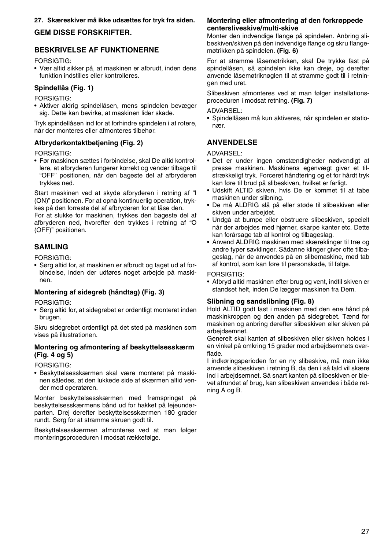### **27. Skæreskiver må ikke udsættes for tryk fra siden.**

## **GEM DISSE FORSKRIFTER.**

## **BESKRIVELSE AF FUNKTIONERNE**

FORSIGTIG:

• Vær altid sikker på, at maskinen er afbrudt, inden dens funktion indstilles eller kontrolleres.

### **Spindellås (Fig. 1)**

FORSIGTIG:

• Aktiver aldrig spindellåsen, mens spindelen bevæger sig. Dette kan bevirke, at maskinen lider skade.

Tryk spindellåsen ind for at forhindre spindelen i at rotere, når der monteres eller afmonteres tilbehør.

#### **Afbryderkontaktbetjening (Fig. 2)**

FORSIGTIG:

• Før maskinen sættes i forbindelse, skal De altid kontrollere, at afbryderen fungerer korrekt og vender tilbage til "OFF" positionen, når den bageste del af afbryderen trykkes ned.

Start maskinen ved at skyde afbryderen i retning af "I (ON)" positionen. For at opnå kontinuerlig operation, trykkes på den forreste del af afbryderen for at låse den.

For at slukke for maskinen, trykkes den bageste del af afbryderen ned, hvorefter den trykkes i retning af "O (OFF)" positionen.

## **SAMLING**

FORSIGTIG:

• Sørg altid for, at maskinen er afbrudt og taget ud af forbindelse, inden der udføres noget arbejde på maskinen.

### **Montering af sidegreb (håndtag) (Fig. 3)**

FORSIGTIG:

• Sørg altid for, at sidegrebet er ordentligt monteret inden brugen.

Skru sidegrebet ordentligt på det sted på maskinen som vises på illustrationen.

#### **Montering og afmontering af beskyttelsesskærm (Fig. 4 og 5)**

FORSIGTIG:

• Beskyttelsesskærmen skal være monteret på maskinen således, at den lukkede side af skærmen altid vender mod operatøren.

Monter beskyttelsesskærmen med fremspringet på beskyttelsesskærmens bånd ud for hakket på lejeunderparten. Drej derefter beskyttelsesskærmen 180 grader rundt. Sørg for at stramme skruen godt til.

Beskyttelsesskærmen afmonteres ved at man følger monteringsproceduren i modsat rækkefølge.

### **Montering eller afmontering af den forkrøppede centersliveskive/multi-skive**

Monter den indvendige flange på spindelen. Anbring slibeskiven/skiven på den indvendige flange og skru flangemøtrikken på spindelen. **(Fig. 6)**

For at stramme låsemøtrikken, skal De trykke fast på spindellåsen, så spindelen ikke kan dreje, og derefter anvende låsemøtriknøglen til at stramme godt til i retningen med uret.

Slibeskiven afmonteres ved at man følger installationsproceduren i modsat retning. **(Fig. 7)**

ADVARSEL:

• Spindellåsen må kun aktiveres, når spindelen er stationær.

## **ANVENDELSE**

ADVARSEL:

- Det er under ingen omstændigheder nødvendigt at presse maskinen. Maskinens egenvægt giver et tilstrækkeligt tryk. Forceret håndtering og et for hårdt tryk kan føre til brud på slibeskiven, hvilket er farligt.
- Udskift ALTID skiven, hvis De er kommet til at tabe maskinen under slibning.
- De må ALDRIG slå på eller støde til slibeskiven eller skiven under arbejdet.
- Undgå at bumpe eller obstruere slibeskiven, specielt når der arbejdes med hjørner, skarpe kanter etc. Dette kan forårsage tab af kontrol og tilbageslag.
- Anvend ALDRIG maskinen med skæreklinger til træ og andre typer savklinger. Sådanne klinger giver ofte tilbageslag, når de anvendes på en slibemaskine, med tab af kontrol, som kan føre til personskade, til følge.

#### FORSIGTIG:

• Afbryd altid maskinen efter brug og vent, indtil skiven er standset helt, inden De lægger maskinen fra Dem.

#### **Slibning og sandslibning (Fig. 8)**

Hold ALTID godt fast i maskinen med den ene hånd på maskinkroppen og den anden på sidegrebet. Tænd for maskinen og anbring derefter slibeskiven eller skiven på arbejdsemnet.

Generelt skal kanten af slibeskiven eller skiven holdes i en vinkel på omkring 15 grader mod arbejdsemnets overflade.

I indkøringsperioden for en ny slibeskive, må man ikke anvende slibeskiven i retning B, da den i så fald vil skære ind i arbejdsemnet. Så snart kanten på slibeskiven er blevet afrundet af brug, kan slibeskiven anvendes i både retning A og B.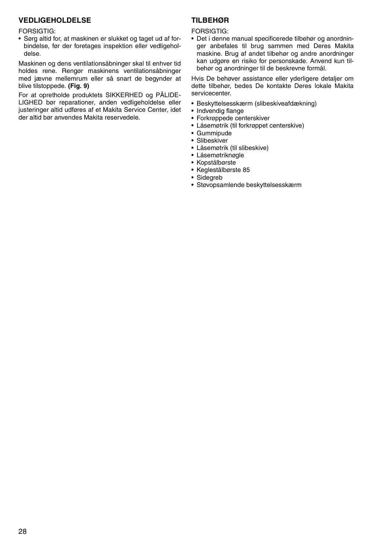## **VEDLIGEHOLDELSE**

#### FORSIGTIG:

• Sørg altid for, at maskinen er slukket og taget ud af forbindelse, før der foretages inspektion eller vedligeholdelse.

Maskinen og dens ventilationsåbninger skal til enhver tid holdes rene. Rengør maskinens ventilationsåbninger med jævne mellemrum eller så snart de begynder at blive tilstoppede. **(Fig. 9)**

For at opretholde produktets SIKKERHED og PÅLIDE-LIGHED bør reparationer, anden vedligeholdelse eller justeringer altid udføres af et Makita Service Center, idet der altid bør anvendes Makita reservedele.

## **TILBEHØR**

#### FORSIGTIG:

• Det i denne manual specificerede tilbehør og anordninger anbefales til brug sammen med Deres Makita maskine. Brug af andet tilbehør og andre anordninger kan udgøre en risiko for personskade. Anvend kun tilbehør og anordninger til de beskrevne formål.

Hvis De behøver assistance eller yderligere detaljer om dette tilbehør, bedes De kontakte Deres lokale Makita servicecenter.

- Beskyttelsesskærm (slibeskiveafdækning)
- Indvendig flange
- Forkrøppede centerskiver
- Låsemøtrik (til forkrøppet centerskive)
- Gummipude
- Slibeskiver
- Låsemøtrik (til slibeskive)
- Låsemøtriknøgle
- Kopstålbørste
- Keglestålbørste 85
- Sidegreb
- Støvopsamlende beskyttelsesskærm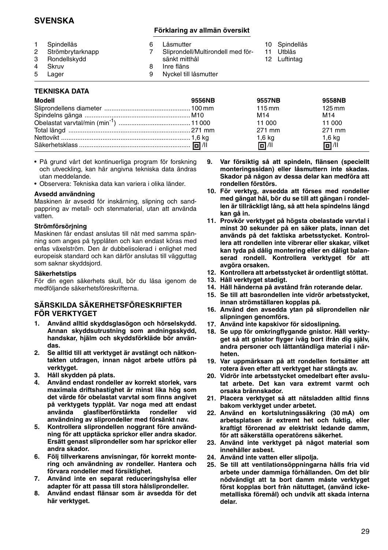## **SVENSKA**

## **Förklaring av allmän översikt**

1 Spindellås<br>2 Strömbryta 2 Strömbrytarknapp<br>3 Bondellskydd 3 Rondellskydd 4 Skruv<br>5 Lager Lager 6 Låsmutter<br>7 Sliprondell Sliprondell/Multirondell med försänkt mitthål 8 Inre fläns<br>9 Nyckel till Nyckel till låsmutter 10 Spindellås 11 Utblås 12 Luftintag

## **TEKNISKA DATA**

| Modell | 9556NB | <b>9557NB</b>    | 9558NB              |
|--------|--------|------------------|---------------------|
|        |        | $115 \text{ mm}$ | $125 \,\mathrm{mm}$ |
|        |        | M <sub>14</sub>  | M <sub>14</sub>     |
|        |        | 11 000           | 11 000              |
|        |        | 271 mm           | 271 mm              |
|        |        | $1,6$ kg         | $1,6$ kg            |
|        |        | 同 /ll            | 回 /ll               |

- På grund vårt det kontinuerliga program för forskning och utveckling, kan här angivna tekniska data ändras utan meddelande.
- Observera: Tekniska data kan variera i olika länder.

#### **Avsedd användning**

Maskinen är avsedd för inskärning, slipning och sandpappring av metall- och stenmaterial, utan att använda vatten.

### **Strömförsörjning**

Maskinen får endast anslutas till nät med samma spänning som anges på typplåten och kan endast köras med enfas växelström. Den är dubbelisolerad i enlighet med europeisk standard och kan därför anslutas till vägguttag som saknar skyddsjord.

#### **Säkerhetstips**

För din egen säkerhets skull, bör du läsa igenom de medföljande säkerhetsföreskrifterna.

## **SÄRSKILDA SÄKERHETSFÖRESKRIFTER FÖR VERKTYGET**

- **1. Använd alltid skyddsglasögon och hörselskydd. Annan skyddsutrustning som andningsskydd, handskar, hjälm och skyddsförkläde bör användas.**
- **2. Se alltid till att verktyget är avstängt och nätkontakten utdragen, innan något arbete utförs på verktyget.**
- **3. Håll skydden på plats.**
- **4. Använd endast rondeller av korrekt storlek, vars maximala driftshastighet är minst lika hög som det värde för obelastat varvtal som finns angivet på verktygets typplåt. Var noga med att endast använda glasfiberförstärkta rondeller vid användning av sliprondeller med försänkt nav.**
- **5. Kontrollera sliprondellen noggrant före användning för att upptäcka sprickor eller andra skador. Ersätt genast sliprondeller som har sprickor eller andra skador.**
- **6. Följ tillverkarens anvisningar, för korrekt montering och användning av rondeller. Hantera och förvara rondeller med försiktighet.**
- **7. Använd inte en separat reduceringshylsa eller adapter för att passa till stora hålsliprondeller.**
- **8. Använd endast flänsar som är avsedda för det här verktyget.**
- **9. Var försiktig så att spindeln, flänsen (speciellt monteringssidan) eller låsmuttern inte skadas. Skador på någon av dessa delar kan medföra att rondellen förstörs.**
- **10. För verktyg, avsedda att förses med rondeller med gängat hål, bör du se till att gängan i rondellen är tillräckligt lång, så att hela spindelns längd kan gå in.**
- **11. Provkör verktyget på högsta obelastade varvtal i minst 30 sekunder på en säker plats, innan det används på det faktiska arbetsstycket. Kontrollera att rondellen inte vibrerar eller skakar, vilket kan tyda på dålig montering eller en dåligt balanserad rondell. Kontrollera verktyget för att avgöra orsaken.**
- **12. Kontrollera att arbetsstycket är ordentligt stöttat.**
- **13. Håll verktyget stadigt.**
- **14. Håll händerna på avstånd från roterande delar.**
- **15. Se till att basrondellen inte vidrör arbetsstycket, innan strömställaren kopplas på.**
- **16. Använd den avsedda ytan på sliprondellen när slipningen genomförs.**
- **17. Använd inte kapskivor för sidoslipning.**
- **18. Se upp för omkringflygande gnistor. Håll verktyget så att gnistor flyger iväg bort ifrån dig själv, andra personer och lättantändliga material i närheten.**
- **19. Var uppmärksam på att rondellen fortsätter att rotera även efter att verktyget har stängts av.**
- **20. Vidrör inte arbetsstycket omedelbart efter avslutat arbete. Det kan vara extremt varmt och orsaka brännskador.**
- **21. Placera verktyget så att nätsladden alltid finns bakom verktyget under arbetet.**
- **22. Använd en kortslutningssäkring (30 mA) om arbetsplatsen är extremt het och fuktig, eller kraftigt förorenad av elektriskt ledande damm, för att säkerställa operatörens säkerhet.**
- **23. Använd inte verktyget på något material som innehåller asbest.**
- **24. Använd inte vatten eller slipolja.**
- **25. Se till att ventilationsöppningarna hålls fria vid arbete under dammiga förhållanden. Om det blir nödvändigt att ta bort damm måste verktyget först kopplas bort från nätuttaget, (använd ickemetalliska föremål) och undvik att skada interna delar.**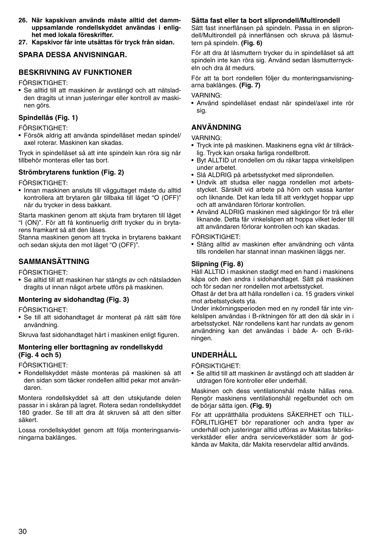- **26. När kapskivan används måste alltid det dammuppsamlande rondellskyddet användas i enlighet med lokala föreskrifter.**
- **27. Kapskivor får inte utsättas för tryck från sidan.**

## **SPARA DESSA ANVISNINGAR.**

## **BESKRIVNING AV FUNKTIONER**

FÖRSIKTIGHET:

• Se alltid till att maskinen är avstängd och att nätsladden dragits ut innan justeringar eller kontroll av maskinen görs.

## **Spindellås (Fig. 1)**

FÖRSIKTIGHET:

• Försök aldrig att använda spindellåset medan spindel/ axel roterar. Maskinen kan skadas.

Tryck in spindellåset så att inte spindeln kan röra sig när tillbehör monteras eller tas bort.

## **Strömbrytarens funktion (Fig. 2)**

FÖRSIKTIGHET:

• Innan maskinen ansluts till vägguttaget måste du alltid kontrollera att brytaren går tillbaka till läget "O (OFF)" när du trycker in dess bakkant.

Starta maskinen genom att skjuta fram brytaren till läget "I (ON)". För att få kontinuerlig drift trycker du in brytarens framkant så att den låses.

Stanna maskinen genom att trycka in brytarens bakkant och sedan skjuta den mot läget "O (OFF)".

## **SAMMANSÄTTNING**

FÖRSIKTIGHET:

• Se alltid till att maskinen har stängts av och nätsladden dragits ut innan något arbete utförs på maskinen.

### **Montering av sidohandtag (Fig. 3)**

FÖRSIKTIGHET:

• Se till att sidohandtaget är monterat på rätt sätt före användning.

Skruva fast sidohandtaget hårt i maskinen enligt figuren.

## **Montering eller borttagning av rondellskydd (Fig. 4 och 5)**

FÖRSIKTIGHET:

• Rondellskyddet måste monteras på maskinen så att den sidan som täcker rondellen alltid pekar mot användaren.

Montera rondellskyddet så att den utskjutande delen passar in i skåran på lagret. Rotera sedan rondellskyddet 180 grader. Se till att dra åt skruven så att den sitter säkert.

Lossa rondellskyddet genom att följa monteringsanvisningarna baklänges.

## **Sätta fast eller ta bort sliprondell/Multirondell**

Sätt fast innerflänsen på spindeln. Passa in en sliprondell/Multirondell på innerflänsen och skruva på låsmuttern på spindeln. **(Fig. 6)**

För att dra åt låsmuttern trycker du in spindellåset så att spindeln inte kan röra sig. Använd sedan låsmutternyckeln och dra åt medurs.

För att ta bort rondellen följer du monteringsanvisningarna baklänges. **(Fig. 7)**

#### VARNING:

• Använd spindellåset endast när spindel/axel inte rör sig.

## **ANVÄNDNING**

VARNING:

- Tryck inte på maskinen. Maskinens egna vikt är tillräcklig. Tryck kan orsaka farliga rondellbrott.
- Byt ALLTID ut rondellen om du råkar tappa vinkelslipen under arbetet.
- Slå ALDRIG på arbetsstycket med sliprondellen.
- Undvik att studsa eller nagga rondellen mot arbetsstycket. Särskilt vid arbete på hörn och vassa kanter och liknande. Det kan leda till att verktyget hoppar upp och att användaren förlorar kontrollen.
- Använd ALDRIG maskinen med sågklingor för trä eller liknande. Detta får vinkelslipen att hoppa vilket leder till att användaren förlorar kontrollen och kan skadas.

#### FÖRSIKTIGHET:

• Stäng alltid av maskinen efter användning och vänta tills rondellen har stannat innan maskinen läggs ner.

### **Slipning (Fig. 8)**

Håll ALLTID i maskinen stadigt med en hand i maskinens kåpa och den andra i sidohandtaget. Sätt på maskinen och för sedan ner rondellen mot arbetsstycket.

Oftast är det bra att hålla rondellen i ca. 15 graders vinkel mot arbetsstyckets yta.

Under inkörningsperioden med en ny rondell får inte vinkelslipen användas i B-riktningen för att den då skär in i arbetsstycket. När rondellens kant har rundats av genom användning kan det användas i både A- och B-riktningen.

## **UNDERHÅLL**

FÖRSIKTIGHET:

• Se alltid till att maskinen är avstängd och att sladden är utdragen före kontroller eller underhåll.

Maskinen och dess ventilationshål måste hållas rena. Rengör maskinens ventilationshål regelbundet och om de börjar sätta igen. **(Fig. 9)**

För att upprätthålla produktens SÄKERHET och TILL-FÖRLITLIGHET bör reparationer och andra typer av underhåll och justeringar alltid utföras av Makitas fabriksverkstäder eller andra serviceverkstäder som är godkända av Makita, där Makita reservdelar alltid används.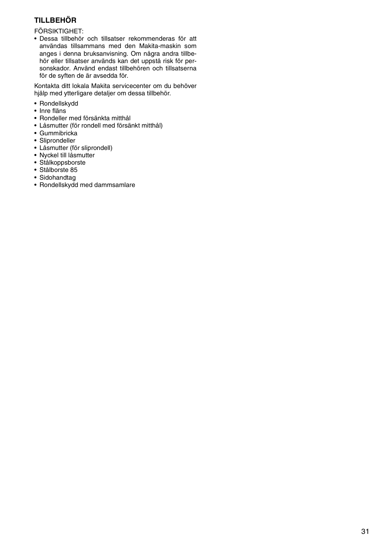## **TILLBEHÖR**

FÖRSIKTIGHET:

• Dessa tillbehör och tillsatser rekommenderas för att användas tillsammans med den Makita-maskin som anges i denna bruksanvisning. Om några andra tillbehör eller tillsatser används kan det uppstå risk för personskador. Använd endast tillbehören och tillsatserna för de syften de är avsedda för.

Kontakta ditt lokala Makita servicecenter om du behöver hjälp med ytterligare detaljer om dessa tillbehör.

- Rondellskydd
- Inre fläns
- Rondeller med försänkta mitthål
- Låsmutter (för rondell med försänkt mitthål)
- Gummibricka
- Sliprondeller
- Låsmutter (för sliprondell)
- Nyckel till låsmutter
- Stålkoppsborste
- Stålborste 85
- Sidohandtag
- Rondellskydd med dammsamlare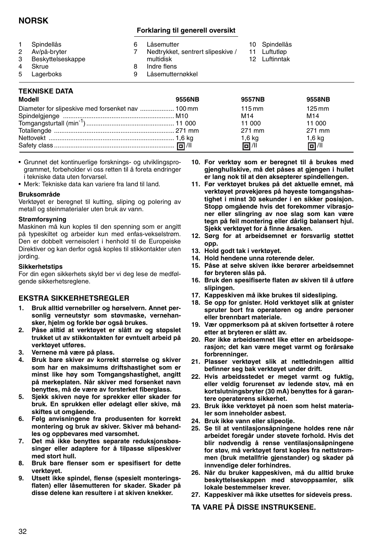## **NORSK**

## **Forklaring til generell oversikt**

|   | Spindellås        | Låsemutter                        | 10 Spindellås |
|---|-------------------|-----------------------------------|---------------|
| 2 | Av/på-bryter      | Nedtrykket, sentrert slipeskive / | 11 Luftutløp  |
| 3 | Beskyttelseskappe | multidisk                         | 12 Luftinntak |
| 4 | Skrue             | Indre flens                       |               |
| 5 | Lagerboks         | Låsemutternøkkel                  |               |
|   |                   |                                   |               |

## **TEKNISKE DATA**

| Modell | 9556NB | 9557NB              | 9558NB              |
|--------|--------|---------------------|---------------------|
|        |        | $115 \,\mathrm{mm}$ | $125 \,\mathrm{mm}$ |
|        |        | M14                 | M14                 |
|        |        | 11 000              | 11 000              |
|        |        | 271 mm              | 271 mm              |
|        |        | $1,6$ kg            | $1,6$ kg            |
|        |        | 同 / 11              | 同川                  |

- Grunnet det kontinuerlige forsknings- og utviklingsprogrammet, forbeholder vi oss retten til å foreta endringer i tekniske data uten forvarsel.
- Merk: Tekniske data kan variere fra land til land.

#### **Bruksområde**

Verktøyet er beregnet til kutting, sliping og polering av metall og steinmaterialer uten bruk av vann.

#### **Strømforsyning**

Maskinen må kun koples til den spenning som er angitt på typeskiltet og arbeider kun med enfas-vekselstrøm. Den er dobbelt verneisolert i henhold til de Europeiske Direktiver og kan derfor også koples til stikkontakter uten jording.

#### **Sikkerhetstips**

For din egen sikkerhets skyld ber vi deg lese de medfølgende sikkerhetsreglene.

### **EKSTRA SIKKERHETSREGLER**

- **1. Bruk alltid vernebriller og hørselvern. Annet personlig verneutstyr som støvmaske, vernehansker, hjelm og forkle bør også brukes.**
- **2. Påse alltid at verktøyet er slått av og støpslet trukket ut av stikkontakten før evntuelt arbeid på verktøyet utføres.**
- **3. Vernene må være på plass.**
- **4. Bruk bare skiver av korrekt størrelse og skiver som har en maksimums driftshastighet som er minst like høy som Tomgangshastighet, angitt på merkeplaten. Når skiver med forsenket navn benyttes, må de være av forsterket fiberglass.**
- **5. Sjekk skiven nøye for sprekker eller skader før bruk. En sprukken eller ødelagt eller skive, må skiftes ut omgående.**
- **6. Følg anvisningene fra produsenten for korrekt montering og bruk av skiver. Skiver må behandles og oppbevares med varsomhet.**
- **7. Det må ikke benyttes separate reduksjonsbøssinger eller adaptere for å tilpasse slipeskiver med stort hull.**
- **8. Bruk bare flenser som er spesifisert for dette verktøyet.**
- **9. Utsett ikke spindel, flense (spesielt monteringsflaten) eller låsemutteren for skader. Skader på disse delene kan resultere i at skiven knekker.**
- **10. For verktøy som er beregnet til å brukes med gjenghullskive, må det påses at gjengen i hullet er lang nok til at den aksepterer spindellengen.**
- **11. Før verktøyet brukes på det aktuelle emnet, må verktøyet prøvekjøres på høyeste tomgangshastighet i minst 30 sekunder i en sikker posisjon. Stopp omgående hvis det forekommer vibrasjoner eller slingring av noe slag som kan være tegn på feil montering eller dårlig balansert hjul. Sjekk verktøyet for å finne årsaken.**
- **12. Sørg for at arbeidsemnet er forsvarlig støttet opp.**
- **13. Hold godt tak i verktøyet.**
- **14. Hold hendene unna roterende deler.**
- **15. Påse at selve skiven ikke berører arbeidsemnet før bryteren slås på.**
- **16. Bruk den spesifiserte flaten av skiven til å utføre slipingen.**
- **17. Kappeskiven må ikke brukes til sidesliping.**
- **18. Se opp for gnister. Hold verktøyet slik at gnister spruter bort fra operatøren og andre personer eller brennbart materiale.**
- **19. Vær oppmerksom på at skiven fortsetter å rotere etter at bryteren er slått av.**
- **20. Rør ikke arbeidsemnet like etter en arbeidsoperasjon; det kan være meget varmt og forårsake forbrenninger.**
- **21. Plasser verktøyet slik at nettledningen alltid befinner seg bak verktøyet under drift.**
- **22. Hvis arbeidsstedet er meget varmt og fuktig, eller veldig forurenset av ledende støv, må en kortslutningsbryter (30 mA) benyttes for å garantere operatørens sikkerhet.**
- **23. Bruk ikke verktøyet på noen som helst materialer som inneholder asbest.**
- **24. Bruk ikke vann eller slipeolje.**
- **25. Se til at ventilasjonsåpningene holdes rene når arbeidet foregår under støvete forhold. Hvis det blir nødvendig å rense ventilasjonsåpningene for støv, må verktøyet først koples fra nettstrømmen (bruk metallfrie gjenstander) og skader på innvendige deler forhindres.**
- **26. Når du bruker kappeskiven, må du alltid bruke beskyttelseskappen med støvoppsamler, slik lokale bestemmelser krever.**
- **27. Kappeskiver må ikke utsettes for sideveis press.**

**TA VARE PÅ DISSE INSTRUKSENE.**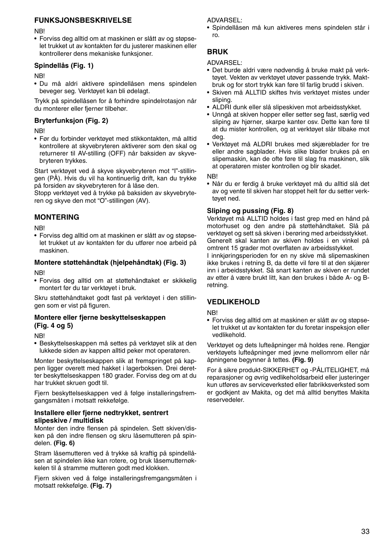## **FUNKSJONSBESKRIVELSE**

**NB** 

• Forviss deg alltid om at maskinen er slått av og støpselet trukket ut av kontakten før du justerer maskinen eller kontrollerer dens mekaniske funksjoner.

## **Spindellås (Fig. 1)**

NB!

• Du må aldri aktivere spindellåsen mens spindelen beveger seg. Verktøyet kan bli ødelagt.

Trykk på spindellåsen for å forhindre spindelrotasjon når du monterer eller fjerner tilbehør.

## **Bryterfunksjon (Fig. 2)**

NB!

• Før du forbinder verktøyet med stikkontakten, må alltid kontrollere at skyvebryteren aktiverer som den skal og returnerer til AV-stilling (OFF) når baksiden av skyvebryteren trykkes.

Start verktøyet ved å skyve skyvebryteren mot "I"-stillingen (PÅ). Hvis du vil ha kontinuerlig drift, kan du trykke på forsiden av skyvebryteren for å låse den.

Stopp verktøyet ved å trykke på baksiden av skyvebryteren og skyve den mot "O"-stillingen (AV).

## **MONTERING**

**NB**!

• Forviss deg alltid om at maskinen er slått av og støpselet trukket ut av kontakten før du utfører noe arbeid på maskinen.

## **Montere støttehåndtak (hjelpehåndtak) (Fig. 3)**

NB!

• Forviss deg alltid om at støttehåndtaket er skikkelig montert før du tar verktøyet i bruk.

Skru støttehåndtaket godt fast på verktøyet i den stillingen som er vist på figuren.

## **Montere eller fjerne beskyttelseskappen (Fig. 4 og 5)**

**NB** 

• Beskyttelseskappen må settes på verktøyet slik at den lukkede siden av kappen alltid peker mot operatøren.

Monter beskyttelseskappen slik at fremspringet på kappen ligger overett med hakket i lagerboksen. Drei deretter beskyttelseskappen 180 grader. Forviss deg om at du har trukket skruen godt til.

Fjern beskyttelseskappen ved å følge installeringsfremgangsmåten i motsatt rekkefølge.

## **Installere eller fjerne nedtrykket, sentrert slipeskive / multidisk**

Monter den indre flensen på spindelen. Sett skiven/disken på den indre flensen og skru låsemutteren på spindelen. **(Fig. 6)**

Stram låsemutteren ved å trykke så kraftig på spindellåsen at spindelen ikke kan rotere, og bruk låsemutternøkkelen til å stramme mutteren godt med klokken.

Fiern skiven ved å følge installeringsfremgangsmåten i motsatt rekkefølge. **(Fig. 7)**

ADVARSEL:

• Spindellåsen må kun aktiveres mens spindelen står i ro.

## **BRUK**

ADVARSEL:

- Det burde aldri være nødvendig å bruke makt på verktøyet. Vekten av verktøyet utøver passende trykk. Maktbruk og for stort trykk kan føre til farlig brudd i skiven.
- Skiven må ALLTID skiftes hvis verktøyet mistes under sliping.
- ALDRI dunk eller slå slipeskiven mot arbeidsstykket.
- Unngå at skiven hopper eller setter seg fast, særlig ved sliping av hjørner, skarpe kanter osv. Dette kan føre til at du mister kontrollen, og at verktøyet slår tilbake mot deg.
- Verktøyet må ALDRI brukes med skjæreblader for tre eller andre sagblader. Hvis slike blader brukes på en slipemaskin, kan de ofte føre til slag fra maskinen, slik at operatøren mister kontrollen og blir skadet.

NB!

• Når du er ferdig å bruke verktøyet må du alltid slå det av og vente til skiven har stoppet helt før du setter verktøyet ned.

## **Sliping og pussing (Fig. 8)**

Verktøyet må ALLTID holdes i fast grep med en hånd på motorhuset og den andre på støttehåndtaket. Slå på verktøyet og sett så skiven i berøring med arbeidsstykket. Generelt skal kanten av skiven holdes i en vinkel på omtrent 15 grader mot overflaten av arbeidsstykket.

I innkjøringsperioden for en ny skive må slipemaskinen ikke brukes i retning B, da dette vil føre til at den skjærer inn i arbeidsstykket. Så snart kanten av skiven er rundet av etter å være brukt litt, kan den brukes i både A- og Bretning.

## **VEDLIKEHOLD**

NB!

• Forviss deg alltid om at maskinen er slått av og støpselet trukket ut av kontakten før du foretar inspeksjon eller vedlikehold.

Verktøyet og dets lufteåpninger må holdes rene. Rengjør verktøyets lufteåpninger med jevne mellomrom eller når åpningene begynner å tettes. **(Fig. 9)**

For å sikre produkt-SIKKERHET og -PÅLITELIGHET, må reparasjoner og øvrig vedlikeholdsarbeid eller justeringer kun utføres av serviceverksted eller fabrikksverksted som er godkjent av Makita, og det må alltid benyttes Makita reservedeler.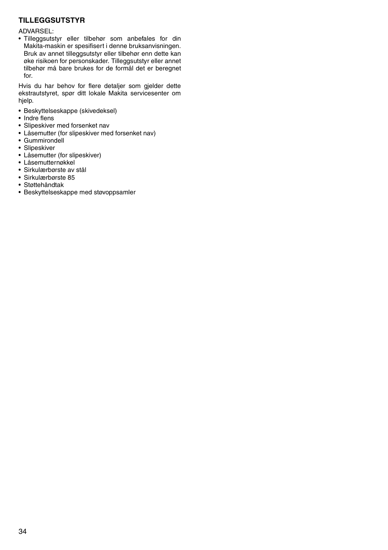## **TILLEGGSUTSTYR**

#### ADVARSEL:

• Tilleggsutstyr eller tilbehør som anbefales for din Makita-maskin er spesifisert i denne bruksanvisningen. Bruk av annet tilleggsutstyr eller tilbehør enn dette kan øke risikoen for personskader. Tilleggsutstyr eller annet tilbehør må bare brukes for de formål det er beregnet for.

Hvis du har behov for flere detaljer som gjelder dette ekstrautstyret, spør ditt lokale Makita servicesenter om hjelp.

- Beskyttelseskappe (skivedeksel)
- Indre flens
- Slipeskiver med forsenket nav
- Låsemutter (for slipeskiver med forsenket nav)
- Gummirondell
- Slipeskiver
- Låsemutter (for slipeskiver)
- Låsemutternøkkel
- Sirkulærbørste av stål
- Sirkulærbørste 85
- Støttehåndtak
- Beskyttelseskappe med støvoppsamler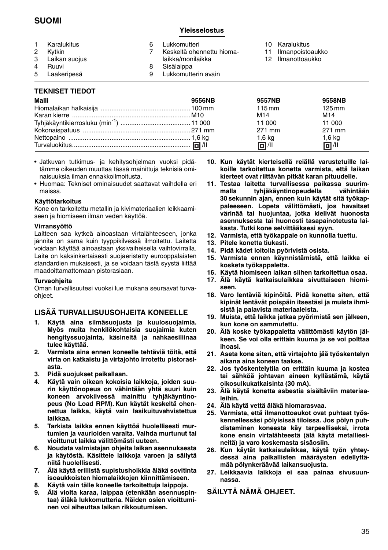## **SUOMI**

### **Yleisselostus**

| $^{2}$<br>$\overline{4}$ | Karalukitus<br>Kvtkin<br>3 Laikan suojus<br>Ruuvi | Lukkomutteri<br>Keskeltä ohennettu hioma-<br>laikka/monilaikka<br>Sisälaippa | 11 | 10 Karalukitus<br>Ilmanpoistoaukko<br>12 Ilmanottoaukko |
|--------------------------|---------------------------------------------------|------------------------------------------------------------------------------|----|---------------------------------------------------------|
|                          | 5 Laakeripesä                                     | Lukkomutterin avain                                                          |    |                                                         |

## **TEKNISET TIEDOT**

| Malli | 9556NB | 9557NB           | 9558NB              |
|-------|--------|------------------|---------------------|
|       |        | $115 \text{ mm}$ | $125 \,\mathrm{mm}$ |
|       |        | M <sub>14</sub>  | M <sub>14</sub>     |
|       |        | 11 000           | 11 000              |
|       |        | 271 mm           | 271 mm              |
|       |        | $1,6$ kg         | $1,6$ kg            |
|       |        | 回 / 11           | 同 /11               |

- Jatkuvan tutkimus- ja kehitysohjelman vuoksi pidätämme oikeuden muuttaa tässä mainittuja teknisiä ominaisuuksia ilman ennakkoilmoitusta.
- Huomaa: Tekniset ominaisuudet saattavat vaihdella eri maissa.

### **Käyttötarkoitus**

Kone on tarkoitettu metallin ja kivimateriaalien leikkaamiseen ja hiomiseen ilman veden käyttöä.

#### **Virransyöttö**

Laitteen saa kytkeä ainoastaan virtalähteeseen, jonka jännite on sama kuin tyyppikilvessä ilmoitettu. Laitetta voidaan käyttää ainoastaan yksivaiheisella vaihtovirralla. Laite on kaksinkertaisesti suojaeristetty eurooppalaisten standardien mukaisesti, ja se voidaan tästä syystä liittää maadoittamattomaan pistorasiaan.

#### **Turvaohjeita**

Oman turvallisuutesi vuoksi lue mukana seuraavat turvaohjeet.

## **LISÄÄ TURVALLISUUSOHJEITA KONEELLE**

- **1. Käytä aina silmäsuojusta ja kuulosuojaimia. Myös muita henkilökohtaisia suojaimia kuten hengityssuojainta, käsineitä ja nahkaesiliinaa tulee käyttää.**
- **2. Varmista aina ennen koneelle tehtäviä töitä, että virta on katkaistu ja virtajohto irrotettu pistorasiasta.**
- **3. Pidä suojukset paikallaan.**
- **4. Käytä vain oikean kokoisia laikkoja, joiden suurin käyttönopeus on vähintään yhtä suuri kuin koneen arvokilvessä mainittu tyhjäkäyntinopeus (No Load RPM). Kun käytät keskeltä ohennettua laikka, käytä vain lasikuituvahvistettua laikkaa.**
- **5. Tarkista laikka ennen käyttöä huolellisesti murtumien ja vaurioiden varalta. Vaihda murtunut tai vioittunut laikka välittömästi uuteen.**
- **6. Noudata valmistajan ohjeita laikan asennuksesta ja käytöstä. Käsittele laikkoja varoen ja säilytä niitä huolellisesti.**
- **7. Älä käytä erillistä supistusholkkia äläkä sovitinta isoaukkoisten hiomalaikkojen kiinnittämiseen.**
- **8. Käytä vain tälle koneelle tarkoitettuja laippoja.**
- **9. Älä vioita karaa, laippaa (etenkään asennuspintaa) äläkä lukkomutteria. Näiden osien vioittuminen voi aiheuttaa laikan rikkoutumisen.**
- **10. Kun käytät kierteisellä reiällä varustetuille laikoille tarkoitettua konetta varmista, että laikan kierteet ovat riittävän pitkät karan pituudelle.**
- **11. Testaa laitetta turvallisessa paikassa suurimmalla tyhjäkäyntinopeudella vähintään 30 sekunnin ajan, ennen kuin käytät sitä työkappaleeseen. Lopeta välittömästi, jos havaitset värinää tai huojuntaa, jotka kielivät huonosta asennuksesta tai huonosti tasapainotetusta laikasta. Tutki kone selvittääksesi syyn.**
- **12. Varmista, että työkappale on kunnolla tuettu.**
- **13. Pitele konetta tiukasti.**
- **14. Pidä kädet loitolla pyörivistä osista.**
- **15. Varmista ennen käynnistämistä, että laikka ei kosketa työkappaletta.**
- **16. Käytä hiomiseen laikan siihen tarkoitettua osaa.**
- **17. Älä käytä katkaisulaikkaa sivuttaiseen hiomiseen.**
- **18. Varo lentäviä kipinöitä. Pidä konetta siten, että kipinät lentävät poispäin itsestäsi ja muista ihmisistä ja palavista materiaaleista.**
- **19. Muista, että laikka jatkaa pyörimistä sen jälkeen, kun kone on sammutettu.**
- **20. Älä koske työkappaletta välittömästi käytön jälkeen. Se voi olla erittäin kuuma ja se voi polttaa ihoasi.**
- **21. Aseta kone siten, että virtajohto jää työskentelyn aikana aina koneen taakse.**
- **22. Jos työskentelytila on erittäin kuuma ja kostea tai sähköä johtavan aineen kyllästämä, käytä oikosulkukatkaisinta (30 mA).**
- **23. Älä käytä konetta asbestia sisältäviin materiaaleihin.**
- **24. Älä käytä vettä äläkä hiomarasvaa.**
- **25. Varmista, että ilmanottoaukot ovat puhtaat työskennellessäsi pölyisissä tiloissa. Jos pölyn puhdistaminen koneesta käy tarpeelliseksi, irrota kone ensin virtalähteestä (älä käytä metalliesineitä) ja varo koskemasta sisäosiin.**
- **26. Kun käytät katkaisulaikkaa, käytä työn yhteydessä aina paikallisten määräysten edellyttämää pölynkeräävää laikansuojusta.**
- **27. Leikkaavia laikkoja ei saa painaa sivusuunnassa.**

### **SÄILYTÄ NÄMÄ OHJEET.**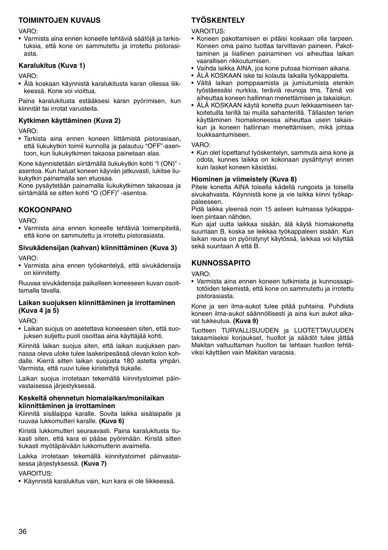## **TOIMINTOJEN KUVAUS**

#### VARO:

• Varmista aina ennen koneelle tehtäviä säätöjä ja tarkistuksia, että kone on sammutettu ja irrotettu pistorasiasta.

## **Karalukitus (Kuva 1)**

VARO:

• Älä koskaan käynnistä karalukitusta karan ollessa liikkeessä. Kone voi vioittua.

Paina karalukitusta estääksesi karan pyörimisen, kun kiinnität tai irrotat varusteita.

## **Kytkimen käyttäminen (Kuva 2)**

VARO:

• Tarkista aina ennen koneen liittämistä pistorasiaan, että liukukytkin toimii kunnolla ja palautuu "OFF"-asentoon, kun liukukytkimen takaosa painetaan alas.

Kone käynnistetään siirtämällä liukukytkin kohti "I (ON)" asentoa. Kun haluat koneen käyvän jatkuvasti, lukitse liukukytkin painamalla sen etuosaa.

Kone pysäytetään painamalla liukukytkimen takaosaa ja siirtämällä se sitten kohti "O (OFF)" -asentoa.

## **KOKOONPANO**

VARO:

- Varmista aina ennen koneelle tehtäviä toimenpiteitä, että kone on sammutettu ja irrotettu pistorasiasta.
- **Sivukädensijan (kahvan) kiinnittäminen (Kuva 3)**

VARO:

• Varmista aina ennen työskentelyä, että sivukädensija on kiinnitetty.

Ruuvaa sivukädensija paikalleen koneeseen kuvan osoittamalla tavalla.

### **Laikan suojuksen kiinnittäminen ja irrottaminen (Kuva 4 ja 5)**

VARO:

• Laikan suojus on asetettava koneeseen siten, että suojuksen suljettu puoli osoittaa aina käyttäjää kohti.

Kiinnitä laikan suojus siten, että laikan suojuksen pannassa oleva uloke tulee laakeripesässä olevan kolon kohdalle. Kierrä sitten laikan suojusta 180 astetta ympäri. Varmista, että ruuvi tulee kiristettyä tiukalle.

Laikan suojus irrotetaan tekemällä kiinnitystoimet päinvastaisessa järjestyksessä.

#### **Keskeltä ohennetun hiomalaikan/monilaikan kiinnittäminen ja irrottaminen**

Kiinnitä sisälaippa karalle. Sovita laikka sisälaipalle ja ruuvaa lukkomutteri karalle. **(Kuva 6)**

Kiristä lukkomutteri seuraavasti. Paina karalukitusta tiukasti siten, että kara ei pääse pyörimään. Kiristä sitten tiukasti myötäpäivään lukkomutterin avaimella.

Laikka irrotetaan tekemällä kiinnitystoimet päinvastaisessa järjestyksessä. **(Kuva 7)**

## VAROITUS:

• Käynnistä karalukitus vain, kun kara ei ole liikkeessä.

## **TYÖSKENTELY**

**VAROITUS:** 

- Koneen pakottamisen ei pitäisi koskaan olla tarpeen. Koneen oma paino tuottaa tarvittavan paineen. Pakottaminen ja liiallinen painaminen voi aiheuttaa laikan vaarallisen rikkoutumisen.
- Vaihda laikka AINA, jos kone putoaa hiomisen aikana.
- ÄLÄ KOSKAAN iske tai kolauta laikalla työkappaletta.
- Vältä laikan pomppaamista ja jumiutumista etenkin työstäessäsi nurkkia, teräviä reunoja tms. Tämä voi aiheuttaa koneen hallinnan menettämisen ja takaiskun.
- ÄLÄ KOSKAAN käytä konetta puun leikkaamiseen tarkoitetuilla terillä tai muilla sahanterillä. Tällaisten terien käyttäminen hiomakoneessa aiheuttaa usein takaiskun ja koneen hallinnan menettämisen, mikä johtaa loukkaantumiseen.

#### VARO:

• Kun olet lopettanut työskentelyn, sammuta aina kone ja odota, kunnes laikka on kokonaan pysähtynyt ennen kuin lasket koneen käsistäsi.

## **Hiominen ja viimeistely (Kuva 8)**

Pitele konetta AINA toisella kädellä rungosta ja toisella sivukahvasta. Käynnistä kone ja vie laikka kiinni työkappaleeseen.

Pidä laikka yleensä noin 15 asteen kulmassa työkappaleen pintaan nähden.

Kun ajat uutta laikkaa sisään, älä käytä hiomakonetta suuntaan B, koska se leikkaa työkappaleen sisään. Kun laikan reuna on pyöristynyt käytössä, laikkaa voi käyttää sekä suuntaan A että B.

## **KUNNOSSAPITO**

VARO:

• Varmista aina ennen koneen tutkimista ja kunnossapitotöiden tekemistä, että kone on sammutettu ja irrotettu pistorasiasta.

Kone ja sen ilma-aukot tulee pitää puhtaina. Puhdista koneen ilma-aukot säännöllisesti ja aina kun aukot alkavat tukkeutua. **(Kuva 9)**

Tuotteen TURVALLISUUDEN ja LUOTETTAVUUDEN takaamiseksi korjaukset, huollot ja säädöt tulee jättää Makitan valtuuttaman huollon tai tehtaan huollon tehtäviksi käyttäen vain Makitan varaosia.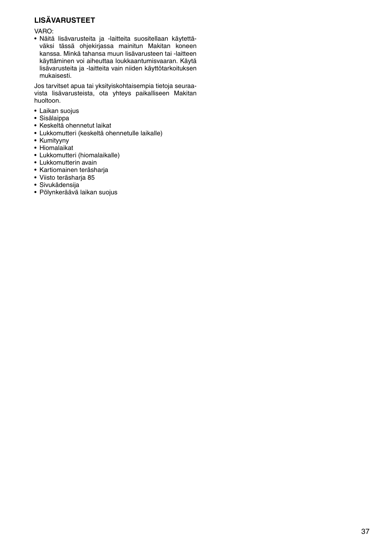## **LISÄVARUSTEET**

VARO:

• Näitä lisävarusteita ja -laitteita suositellaan käytettäväksi tässä ohjekirjassa mainitun Makitan koneen kanssa. Minkä tahansa muun lisävarusteen tai -laitteen käyttäminen voi aiheuttaa loukkaantumisvaaran. Käytä lisävarusteita ja -laitteita vain niiden käyttötarkoituksen mukaisesti.

Jos tarvitset apua tai yksityiskohtaisempia tietoja seuraavista lisävarusteista, ota yhteys paikalliseen Makitan huoltoon.

- Laikan suojus
- Sisälaippa
- Keskeltä ohennetut laikat
- Lukkomutteri (keskeltä ohennetulle laikalle)
- Kumityyny
- Hiomalaikat
- Lukkomutteri (hiomalaikalle)
- Lukkomutterin avain
- Kartiomainen teräsharja
- Viisto teräsharja 85
- Sivukädensija
- Pölynkeräävä laikan suojus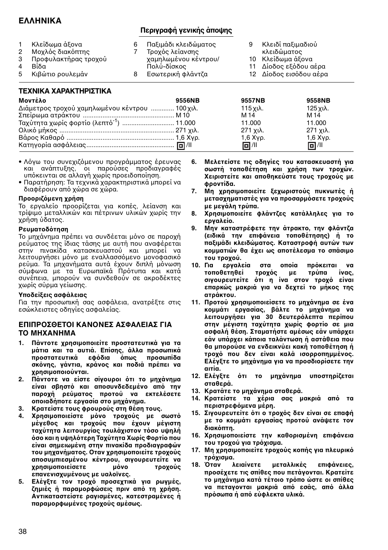## **ΕΛΛΗΝΙΚΑ**

## **Περιγραφή γενικής άπψης**

| 3<br>5. | Κλείδωμα άξονα<br>Μοχλός διακόπτης<br>Προφυλακτήρας τροχού<br>Βίδα<br>Κιβώτιο ρουλεμάν |  | Παξιμάδι κλειδώματος<br>Τροχός λείανσης<br>χαμηλωμένου κέντρου/<br>Πολύ-δίσκος<br>Εσωτερική φλάντζα |  | Κλειδί παξιμαδιού<br>κλειδώματος<br>10 Κλείδωμα άξονα<br>11 Δίοδος εξόδου αέρα<br>12 Δίοδος εισόδου αέρα |
|---------|----------------------------------------------------------------------------------------|--|-----------------------------------------------------------------------------------------------------|--|----------------------------------------------------------------------------------------------------------|
|---------|----------------------------------------------------------------------------------------|--|-----------------------------------------------------------------------------------------------------|--|----------------------------------------------------------------------------------------------------------|

## **ΤΕΧΝΙΚΑ ΧΑΡΑΚΤΗΡΙΣΤΙΚΑ**

| Μοντέλο                                              | 9556NB | 9557NB     | 9558NB     |
|------------------------------------------------------|--------|------------|------------|
| Διάμετρος τροχού χαμηλωμένου κέντρου  100 χιλ.       |        | 115 χιλ.   | 125 χιλ.   |
|                                                      |        | M 14       | M 14       |
| Ταχύτητα χωρίς φορτίο (λεπτό <sup>-1</sup> )  11.000 |        | 11.000     | 11.000     |
|                                                      |        | 271 χιλ.   | 271 χιλ.   |
|                                                      |        | $1.6$ Xyp. | $1,6$ Xyp. |
|                                                      |        | 回 / 11     | 回 / 11     |

- Λόγω του συνεχιζόμενου προγράμματος έρευνας και ανάπτυξης, οι παρούσες προδιαγραφές υπόκεινται σε αλλαγή χωρίς προειδοποίηση.
- Παρατήρηση: Τα τεχνικά χαρακτηριστικά μπορεί να διαφέρουν από χώρα σε χώρα.

### **Πρρι3µενη ρήση**

Το εργαλείο προορίζεται για κοπές, λείανση και τρίψιµ µεταλλικών και πέτρινων υλικών 
ωρίς την χρήση ύδατος.

### **Ρευµατδτηση**

Το μηχάνημα πρέπει να συνδέεται μόνο σε παροχή ρεύµατς της ίδιας τάσης µε αυτή πυ αναφέρεται στην πινακίδα κατασκευαστύ και µπρεί να λειτουργήσει μόνο με εναλλασσόμενο μονοφασικό ρεύμα. Τα μηχανήματα αυτά έχουν διπλή μόνωση σύµφωνα µε τα Ευρωπαϊκά Πρτυπα και κατά συνέπεια, μπορούν να συνδεθούν σε ακροδέκτες ωρίς σύρµα γείωσης.

## **Υπδεί6εις ασφάλειας**

Για την προσωπική σας ασφάλεια, ανατρέξτε στις εσώκλειστες δηγίες ασφαλείας.

## **ΕΠΙΠΡΣΘΕΤΙ ΚΑΝΝΕΣ ΑΣΦΑΛΕΙΑΣ ΓΙΑ ΤΟ ΜΗΧΑΝΗΜΑ**

- **1. Πάνττε ρησιµπιείτε πρστατευτικά για τα µάτια και τα αυτιά. Επίσης, άλλα πρσωπικά πρστατευτικά εφδια πως πρσωπίδα** σκόνης, γάντια, κράνος και ποδιά πρέπει να **ρησιµπιύνται.**
- **2. Πάντοτε να είστε σίνουροι ότι το μηχάνημα** είναι σβηστό και αποσυνδεδεμένο από την **παροχή ρεύματος προτού να εκτελέσετε πιαδήπτε εργασία στ µηάνηµα.**
- **3. Κρατείστε τυς φρυρύς στη θέση τυς.**
- 4. Χρησιμοποιείστε μόνο τροχούς με σωστό μέγεθος και τροχούς που έχουν μέγιστη ταχύτητα λειτουρνίας τουλάχιστον τόσο υψηλή όσο και η υψηλότερη Ταχύτητα Χωρίς Φορτίο που **είναι σηµειωµένη στην πινακίδα πρδιαγραφών** του μηχανήματος. Οταν χρησιμοποιείτε τροχούς **απσυµπιεσµένυ κέντρυ, σιγυρευτείτε να** *<u>κρησιμοποιείσετε</u>* **μόνο τροχούς επανενισυµένυς µε υαλϊνες.**
- 5. Ελέγξτε τον τροχό προσεχτικά για ρωγμές, ζημιές ή παραμορφώσεις πριν από τη χρήση. **Αντικαταστείστε ραγισµένες, κατεστραµένες ή παραµρφωµένες τρύς αµέσως.**
- **6. Μελετείστε τις δηγίες τυ κατασκευαστή για** σωστή τοποθέτηση και χρήση των τροχών. **Κειριστείτε και αποθηκεύστε τους τροχούς με φρντίδα.**
- 7. Μη χρησιμοποιείτε ξεχωριστούς πυκνωτές ή **μετασχηματιστές για να προσαρμόσετε τροχούς µε µεγάλη τρύπα.**
- 8. Χρησιμοποιείτε φλάντζες κατάλληλες για το **εργαλεί.**
- 9. Μην καταστρέφετε την άτρακτο, την φλάντζα (ειδικά την επιφάνεια τοποθέτησης) ή το **πα6ιµάδι κλειδώµατς. Καταστρφή αυτών των κομματιών θα έχει ως αποτέλεσμα το σπάσιμο του τροχού.**<br>10. Για ερναλι
- <mark>εργαλεία στα οποία πρόκειται να</mark><br>θετηθεί τροχός με τρύπα ίνας, τοποθετηθεί τροχός με τρύπα ίνας, **σιγυρευτείτε τι η ίνα στν τρ είναι** επαρκώς μακριά για να δεχτεί το μήκος της **ατράκτυ.**
- 11. Προτού χρησιμοποιείσετε το μηχάνημα σε ένα **κομμάτι εργασίας, βάλτε το μηχάνημα να λειτυργήσει για 30 δευτερλεπτα περίπυ στην µέγιστη ταύτητα ωρίς φρτί σε µια ασφαλή θέση. Σταµατήστε αµέσως εάν υπάρει** εάν υπάρχει κάποια ταλάντωση ή αστάθεια που θα μπορούσε να ενδεικνύει κακή τοποθέτηση ή **τρ πυ δεν είναι καλά ισρρπηµµένς.** Ελέγξτε το μηχάνημα για να προσδιορίσετε την **αιτία.**
- 12. Ελέγξτε ότι το μηχάνημα υποστηρίζεται **σταθερά.**
- 13. Κρατάτε το μηχάνημα σταθερά.
- 14. Κρατείστε τα χέρια σας μακριά από τα **περιστρεφµενα µέρη.**
- 15. Σιγουρευτείτε ότι ο τροχός δεν είναι σε επαφή **με το κομμάτι εργασίας προτού ανάψετε τον**  $\delta$ ιακόπτη.
- 16. Χρησιμοποιείστε την καθορισμένη επιφάνεια **τυ τρύ για τρισµα.**
- 17. Μη χρησιμοποιείτε τροχούς κοπής για πλευρικό τρόχισμα.<br>18. Όταν λειαίνετε
- **18. Eταν λειαίνετε µεταλλικές επιφάνειες, πρσέετε τις σπίθες πυ πετάγνται. Κρατείτε** το μηχάνημα κατά τέτοιο τρόπο ώστε οι σπίθες να πεταγονται μακριά από εσάς, από άλλα <u>πρόσωπα ή από εύφλεκτα υλικά.</u>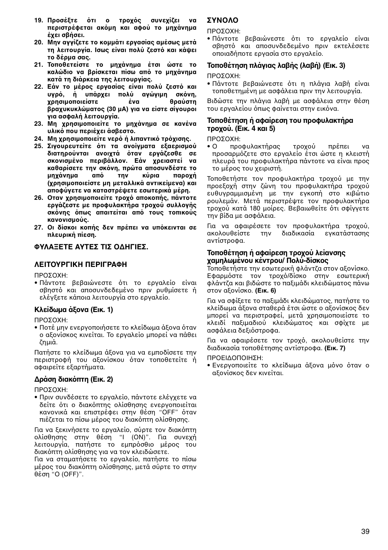- 19. Προσέξτε ότι ο τροχός συνεχίζει να περιστρέφεται ακόμη και αφού το μηχάνημα **έει σήσει.**
- 20. Μην αγγίζετε το κομμάτι εργασίας αμέσως μετά **τη λειτουργία. Ισως είναι πολύ ζεστό και κάψει τ δέρµα σας.**
- 21. Τοποθετείστε το μηχάνημα έτσι ώστε το **καλώδιο να βρίσκεται πίσω από το μηχάνημα κατά τη διάρκεια της λειτυργίας.**
- **22. Εάν το μέρος εργασίας είναι πολύ ζεστό και** υγρό, ἡ υπάρχει πολύ αγώγιμη σκόνη,<br>χοησιμοποιείστε ένα θραύστη **ρησιµπιείστε ένα θραύστη** ...<br>βραχυκυκλώματος (30 μΑ) για να είστε σίγουροι **για ασφαλή λειτυργία.**
- 23. Μη χρησιμοποιείτε το μηχάνημα σε κανένα **υλικό που περιέχει άσβεστο.**
- 24. Μη χρησιμοποιείτε νερό ή λιπαντικό τρόχισης.
- **25. Σιγυρευτείτε τι τα ανίγµατα ε6αερισµύ** διατηρούνται ανοιχτά όταν εργάζεσθε σε σκονισμένο περιβάλλον. Εάν χρειαστεί να καθαρίσετε την σκόνη, πρώτα αποσυνδέστε το<br>μηχάνημα από την κύρια παροχή μηχάνημα από την κύρια **(ρησιµπιείστε µη µεταλλικά αντικείµενα) και απφύγετε να καταστρέψετε εσωτερικά µέρη.**
- **26. Οταν χρησιμοποιείτε τροχό αποκοπής, πάντοτε εργά3εστε µε πρφυλακτήρα τρύ συλλγής** σκόνης όπως απαιτείται από τους τοπικούς **καννισµύς.**
- **27. Οι δίσκοι κοπής δεν πρέπει να υπόκεινται σε πλευρική πίεση.**

## **ΦΥΛΑFΕΤΕ ΑΥΤΕΣ ΤΙΣ ∆ΗΓΙΕΣ.**

## **ΛΕΙΤΥΡΓΙΚΗ ΠΕΡΙΓΡΑΦΗ**

ΠΡΩΣΩΧΗ·

• Πάντοτε βεβαιώνεστε ότι το εργαλείο είναι σβηστό και αποσυνδεδεμένο πριν ρυθμίσετε ή ελέγξετε κάποια λειτουργία στο εργαλείο.

## **Κλείδωµα ά6να (Εικ. 1)**

ΠΡΟΣΟΧΗ:

• Ποτέ μην ενεργοποιήσετε το κλείδωμα άξονα όταν ο αξονίσκος κινείται. Το εργαλείο μπορεί να πάθει :ηµιά.

Πατήστε το κλείδωμα άξονα για να εμποδίσετε την περιστροφή του αξονίσκου όταν τοποθετείτε ή αφαιρείτε εξαρτήματα.

## **∆ράση διακπτη (Εικ. 2)**

ΠΡΟΣΟΧΗ:

• Πριν συνδέσετε το εργαλείο, πάντοτε ελέγχετε να δείτε ότι ο διακόπτης ολίσθησης ενεργοποιείται κανονικά και επιστρέφει στην θέση "OFF" όταν πιέζεται το πίσω μέρος του διακόπτη ολίσθησης.

Για να ξεκινήσετε το εργαλείο, σύρτε τον διακόπτη λίσθησης στην θέση "I (ON)". Για συνε
ή λειτουργία, πατήστε το εμπρόσθιο μέρος του διακόπτη ολίσθησης για να τον κλειδώσετε.

Για να σταματήσετε το εργαλείο, πατήστε το πίσω μέρος του διακόπτη ολίσθησης, μετά σύρτε το στην θέση "O (OFF)".

## **ΣΥΝΛ**

ΠΡΩΣΩΧΗ·

• Πάντοτε βεβαιώνεστε ότι το εργαλείο είναι σβηστό και αποσυνδεδεμένο πριν εκτελέσετε οποιαδήποτε εργασία στο εργαλείο.

## **Τοποθέτηση πλάνιας λαβής (λαβή) (Εικ. 3)**

ΠΡΩΣΩΧΗ·

• Πάντοτε βεβαιώνεστε ότι η πλάγια λαβή είναι τοποθετημένη με ασφάλεια πριν την λειτουργία.

Βιδώστε την πλάγια λαβή με ασφάλεια στην θέση του εργαλείου όπως φαίνεται στην εικόνα.

## **Τπθέτηση ή αφαίρεση τυ πρφυλακτήρα τρογού.** (Εικ. 4 και 5)

ΠΡΟΣΟΧΗ:

• Ο προφυλακτήρας τροχού πρέπει να προσαρμόζετε στο εργαλείο έτσι ώστε η κλειστή πλευρά του προφυλακτήρα πάντοτε να είναι προς το μέρος του χειριστή.

Τοποθετήστε τον προφυλακτήρα τροχού με την προεξοχή στην ζώνη του προφυλακτήρα τροχού ευθυγραμμισμένη με την εγκοπή στο κιβώτιο ρουλεμάν. Μετά περιστρέψτε τον προφυλακτήρα τροχού κατά 180 μοίρες. Βεβαιωθείτε ότι σφίγγετε την βίδα με ασφάλεια.

Για να αφαιρέσετε τον προφυλακτήρα τροχού,<br>ακολουθείστε την διαδικασία ενκατάστασης την διαδικασία εγκατάστασης αντίστρφα.

#### **Τοποθέτηση ή αφαίρεση τροχού λείανσης αµηλωµένυ κέντρυ/ Πλύ-δίσκς**

Τοποθετήστε την εσωτερική φλάντζα στον αξονίσκο. Εφαρμόστε τον τροχό/δίσκο στην εσωτερική φλάντζα και βιδώστε το παξιμάδι κλειδώματος πάνω στν α.νίσκ. **(Εικ. 6)**

Για να σφίξετε το παξιμάδι κλειδώματος, πατήστε το κλείδωμα άξονα σταθερά έτσι ώστε ο αξονίσκος δεν μπορεί να περιστραφεί, μετά χρησιμοποιείστε το κλειδί παξιμαδιού κλειδώματος και σφίχτε με ασφάλεια δεξιόστροφα.

Για να αφαιρέσετε τον τροχό, ακολουθείστε την διαδικασία τοποθέτησης αντίστροφα. **(Εικ. 7)** 

#### ΠΡΟΕΙΔΟΠΟΙΗΣΗ:

• Ενεργοποιείτε το κλείδωμα άξονα μόνο όταν ο αξονίσκος δεν κινείται.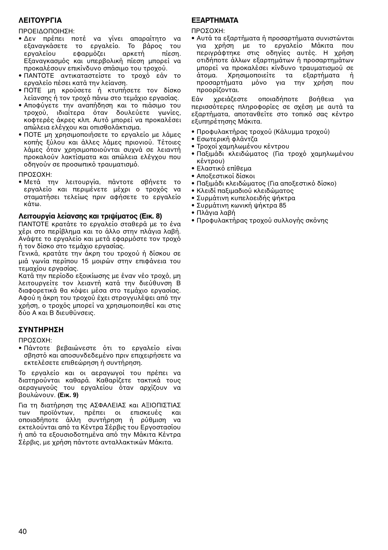## **ΛΕΙΤΥΡΓΙΑ**

#### ΠΡΟΕΙΔΟΠΟΙΗΣΗ:

- Δεν πρέπει ποτέ να γίνει απαραίτητο να εξανανκάσετε το ερναλείο. Το βάρος του εργαλείου εφαρμόζει αρκετή πίεση. Εξαναγκασμός και υπερβολική πίεση μπορεί να προκαλέσουν επικίνδυνο σπάσιμο του τροχού.
- ΠΑΝΤΟΤΕ αντικαταστείστε το τροχό εάν το εργαλείο πέσει κατά την λείανση.
- ΠΟΤΕ μη κρούσετε ή κτυπήσετε τον δίσκο λείανσης ή τον τροχό πάνω στο τεμάχιο εργασίας.
- Αποφύγετε την αναπήδηση και το πιάσιμο του τροχού, ιδιαίτερα όταν δουλεύετε γωνίες, κοφτερές άκρες κλπ. Αυτό μπορεί να προκαλέσει απώλεια ελέγχου και οπισθολάκτισμα.
- ΠΟΤΕ μη χρησιμοποιήσετε το εργαλείο με λάμες κοπής ξύλου και άλλες λάμες πριονιού. Τέτοιες λάμες όταν χρησιμοποιούνται συχνά σε λειαντή προκαλούν λακτίσματα και απώλεια ελέγγου που οδηγούν σε προσωπικό τραυματισμό.

ΠΡΩΣΩΧΗ·

• Μετά την λειτουργία, πάντοτε σβήνετε το εργαλείο και περιμένετε μέχρι ο τροχός να σταματήσει τελείως πριν αφήσετε το εργαλείο κάτω.

## **Λειτυργία λείανσης και τριψίµατς (Εικ. 8)**

ΠΑΝΤΟΤΕ κρατάτε το εργαλείο σταθερά με το ένα χέρι στο περίβλημα και το άλλο στην πλάγια λαβή. Ανάψτε το εργαλείο και μετά εφαρμόστε τον τροχό ή τον δίσκο στο τεμάχιο εργασίας.

Γενικά, κρατάτε την άκρη του τροχού ή δίσκου σε μιά γωνία περίπου 15 μοιρών στην επιφάνεια του τεµα
ίυ εργασίας.

Κατά την περίοδο εξοικίωσης με έναν νέο τροχό, μη λειτουργείτε τον λειαντή κατά την διεύθυνση Β διαφορετικά θα κόψει μέσα στο τεμάχιο εργασίας. Αφού η άκρη του τροχού έχει στρογγυλέψει από την χρήση, ο τροχός μπορεί να χρησιμοποιηθεί και στις δύ Α και Β διευθύνσεις.

## **ΣΥΝΤΗΡΗΣΗ**

ΠΡΩΣΩΧΗ·

• Πάντοτε βεβαιώνεστε ότι το εργαλείο είναι σβηστό και αποσυνδεδεμένο πριν επιχειρήσετε να εκτελέσετε επιθεώρηση ή συντήρηση.

Το εργαλείο και οι αεραγωγοί του πρέπει να διατηρούνται καθαρά. Καθαρίζετε τακτικά τους αεραγωγούς του εργαλείου όταν αρχίζουν να υλώνυν. **(Εικ. 9)**

Για τη διατήρηση της ΑΣΦΑΛΕΙΑΣ και ΑΞΙΟΠΙΣΤΙΑΣ των προϊόντων, πρέπει οι επισκευές και πιαδήπτε άλλη συντήρηση ή ρύθµιση να εκτελούνται από τα Κέντρα Σέρβις του Εργοστασίου ή από τα εξουσιοδοτημένα από την Μάκιτα Κέντρα Σέρβις, με χρήση πάντοτε ανταλλακτικών Μάκιτα.

## **ΕFΑΡΤΗΜΑΤΑ**

ΠΡΩΣΩΧΗ·

• Αυτά τα εξαρτήματα ή προσαρτήματα συνιστώνται για χρήση με το εργαλείο Μάκιτα που περιγράφτηκε στις δηγίες αυτές. Η 
ρήση οτιδήποτε άλλων εξαρτημάτων ή προσαρτημάτων μπροεί να προκαλέσει κίνδυνο τραυματισμού σε άτομα. Χοησιμοποιείτε τα εξαρτήματα ή προσαρτήματα μόνο νια την χρήση που προρρίζονται.

Εάν χρειάζεστε οποιαδήποτε βοήθεια για περισσότερες πληροφορίες σε σχέση με αυτά τα εξαρτήματα, αποτανθείτε στο τοπικό σας κέντρο ε.υπηρέτησης Μάκιτα.

- Προφυλακτήρας τροχού (Κάλυμμα τροχού)
- Εσωτερική φλάντζα
- Τροχοί χαμηλωμένου κέντρου
- Παξιμάδι κλειδώματος (Για τροχό χαμηλωμένου κέντρου)
- Ελαστικό επίθεμα
- Αποξεστικοί δίσκοι
- Παξιμάδι κλειδώματος (Για αποξεστικό δίσκο)
- Κλειδί παξιμαδιού κλειδώματος
- Συρμάτινη κυπελοειδής ψήκτρα
- Συρµάτινη κωνική ψήκτρα 85
- Πλάγια λαβή
- Προφυλακτήρας τρογού συλλογής σκόνης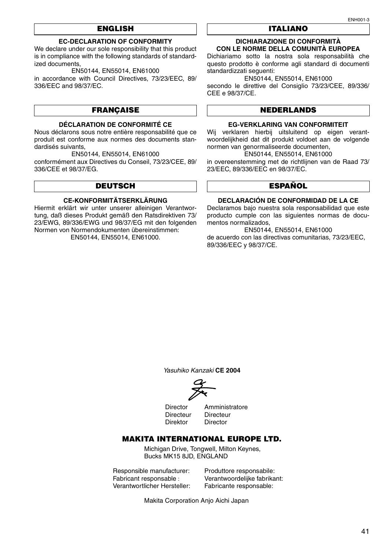## **ENGLISH**

## **EC-DECLARATION OF CONFORMITY**

We declare under our sole responsibility that this product is in compliance with the following standards of standardized documents,

EN50144, EN55014, EN61000

in accordance with Council Directives, 73/23/EEC, 89/ 336/EEC and 98/37/EC.

## **FRANÇAISE**

### **DÉCLARATION DE CONFORMITÉ CE**

Nous déclarons sous notre entière responsabilité que ce produit est conforme aux normes des documents standardisés suivants,

EN50144, EN55014, EN61000

conformément aux Directives du Conseil, 73/23/CEE, 89/ 336/CEE et 98/37/EG.

## **DEUTSCH**

#### **CE-KONFORMITÄTSERKLÄRUNG**

Hiermit erklärt wir unter unserer alleinigen Verantwortung, daß dieses Produkt gemäß den Ratsdirektiven 73/ 23/EWG, 89/336/EWG und 98/37/EG mit den folgenden Normen von Normendokumenten übereinstimmen: EN50144, EN55014, EN61000.

### **ITALIANO**

#### **DICHIARAZIONE DI CONFORMITÀ CON LE NORME DELLA COMUNITÀ EUROPEA**

Dichiariamo sotto la nostra sola responsabilità che questo prodotto è conforme agli standard di documenti standardizzati seguenti:

EN50144, EN55014, EN61000

secondo le direttive del Consiglio 73/23/CEE, 89/336/ CEE e 98/37/CE.

## **NEDERLANDS**

#### **EG-VERKLARING VAN CONFORMITEIT**

Wij verklaren hierbij uitsluitend op eigen verantwoordelijkheid dat dit produkt voldoet aan de volgende normen van genormaliseerde documenten,

EN50144, EN55014, EN61000

in overeenstemming met de richtlijnen van de Raad 73/ 23/EEC, 89/336/EEC en 98/37/EC.

## **ESPAÑOL**

#### **DECLARACIÓN DE CONFORMIDAD DE LA CE**

Declaramos bajo nuestra sola responsabilidad que este producto cumple con las siguientes normas de documentos normalizados,

EN50144, EN55014, EN61000 de acuerdo con las directivas comunitarias, 73/23/EEC, 89/336/EEC y 98/37/CE.

Yasuhiko Kanzaki **CE 2004**

Directeur Directeur<br>Direktor Director

Director Amministratore<br>Directeur Directeur Director

## **MAKITA INTERNATIONAL EUROPE LTD.**

Michigan Drive, Tongwell, Milton Keynes, Bucks MK15 8JD, ENGLAND

Responsible manufacturer: Produttore responsabile: Verantwortlicher Hersteller:

Verantwoordelijke fabrikant:<br>Fabricante responsable:

Makita Corporation Anjo Aichi Japan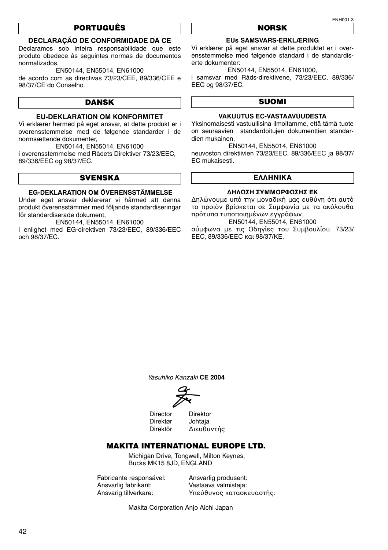## **PORTUGUÊS**

## **DECLARAÇÃO DE CONFORMIDADE DA CE**

Declaramos sob inteira responsabilidade que este produto obedece às seguintes normas de documentos .<br>normalizados

EN50144, EN55014, EN61000

de acordo com as directivas 73/23/CEE, 89/336/CEE e 98/37/CE do Conselho.

## **DANSK**

### **EU-DEKLARATION OM KONFORMITET**

Vi erklærer hermed på eget ansvar, at dette produkt er i overensstemmelse med de følgende standarder i de normsættende dokumenter,

EN50144, EN55014, EN61000

i overensstemmelse med Rådets Direktiver 73/23/EEC, 89/336/EEC og 98/37/EC.

## **SVENSKA**

## **EG-DEKLARATION OM ÖVERENSSTÄMMELSE**

Under eget ansvar deklarerar vi härmed att denna produkt överensstämmer med följande standardiseringar för standardiserade dokument,

EN50144, EN55014, EN61000

i enlighet med EG-direktiven 73/23/EEC, 89/336/EEC och 98/37/EC.

#### **NORSK**

#### **EUs SAMSVARS-ERKLÆRING**

Vi erklærer på eget ansvar at dette produktet er i overensstemmelse med følgende standard i de standardiserte dokumenter:

EN50144, EN55014, EN61000,

i samsvar med Råds-direktivene, 73/23/EEC, 89/336/ EEC og 98/37/EC.

## **SUOMI**

## **VAKUUTUS EC-VASTAAVUUDESTA**

Yksinomaisesti vastuullisina ilmoitamme, että tämä tuote on seuraavien standardoitujen dokumenttien standardien mukainen,

EN50144, EN55014, EN61000

neuvoston direktiivien 73/23/EEC, 89/336/EEC ja 98/37/ EC mukaisesti.

#### **ΕΛΛΗΝΙΚΑ**

#### **∆ΗΛΩΣΗ ΣΥΜΜΡΦΩΣΗΣ ΕΚ**

Δηλώνουμε υπό την μοναδική μας ευθύνη ότι αυτό το προιόν βρίσκεται σε Συμφωνία με τα ακόλουθα πρότυπα τυποποιημένων εγγράφων.

EN50144, EN55014, EN61000

σύμφωνα με τις Οδηγίες του Συμβουλίου, 73/23/ EEC, 89/336/EEC και 98/37/ΚE.

Yasuhiko Kanzaki **CE 2004**

Director Direktor<br>Direktør Johtaia Direktør Direktör ∆ιευθυντής

## **MAKITA INTERNATIONAL EUROPE LTD.**

Michigan Drive, Tongwell, Milton Keynes, Bucks MK15 8JD, ENGLAND

Fabricante responsável: Ansvarlig produsent:<br>Ansvarlig fabrikant: Vastaava valmistaja: Ansvarlig fabrikant: Vastaava valmistaja:

Υπεύθυνος κατασκευαστής:

Makita Corporation Anjo Aichi Japan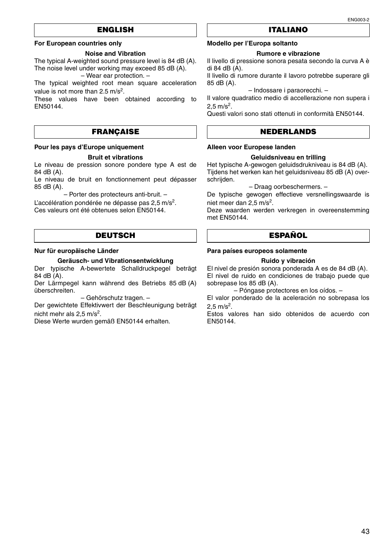## **ENGLISH**

#### **For European countries only**

#### **Noise and Vibration**

The typical A-weighted sound pressure level is 84 dB (A). The noise level under working may exceed 85 dB (A). – Wear ear protection. –

The typical weighted root mean square acceleration value is not more than  $2.5 \text{ m/s}^2$ .

These values have been obtained according to EN50144.

## **FRANÇAISE**

#### **Pour les pays d'Europe uniquement**

#### **Bruit et vibrations**

Le niveau de pression sonore pondere type A est de 84 dB (A).

Le niveau de bruit en fonctionnement peut dépasser 85 dB (A).

– Porter des protecteurs anti-bruit. – L'accélération pondérée ne dépasse pas  $2.5 \text{ m/s}^2$ . Ces valeurs ont été obtenues selon EN50144.

## **DEUTSCH**

## **Nur für europäische Länder**

**Geräusch- und Vibrationsentwicklung**

Der typische A-bewertete Schalldruckpegel beträgt 84 dB (A).

Der Lärmpegel kann während des Betriebs 85 dB (A) überschreiten.

– Gehörschutz tragen. –

Der gewichtete Effektivwert der Beschleunigung beträgt nicht mehr als  $2.5 \text{ m/s}^2$ .

Diese Werte wurden gemäß EN50144 erhalten.

## **ITALIANO**

## **Modello per l'Europa soltanto**

#### **Rumore e vibrazione**

Il livello di pressione sonora pesata secondo la curva A è di 84 dB (A).

Il livello di rumore durante il lavoro potrebbe superare gli 85 dB (A).

#### – Indossare i paraorecchi. –

Il valore quadratico medio di accellerazione non supera i  $2.5 \text{ m/s}^2$ .

Questi valori sono stati ottenuti in conformità EN50144.

## **NEDERLANDS**

#### **Alleen voor Europese landen**

#### **Geluidsniveau en trilling**

Het typische A-gewogen geluidsdrukniveau is 84 dB (A). Tijdens het werken kan het geluidsniveau 85 dB (A) overschrijden.

– Draag oorbeschermers. –

De typische gewogen effectieve versnellingswaarde is niet meer dan  $2,5$  m/s<sup>2</sup>.

Deze waarden werden verkregen in overeenstemming met EN50144.

## **ESPAÑOL**

#### **Para países europeos solamente**

#### **Ruido y vibración**

El nivel de presión sonora ponderada A es de 84 dB (A). El nivel de ruido en condiciones de trabajo puede que sobrepase los 85 dB (A).

– Póngase protectores en los oídos. –

El valor ponderado de la aceleración no sobrepasa los  $2,5 \text{ m/s}^2$ .

Estos valores han sido obtenidos de acuerdo con EN50144.